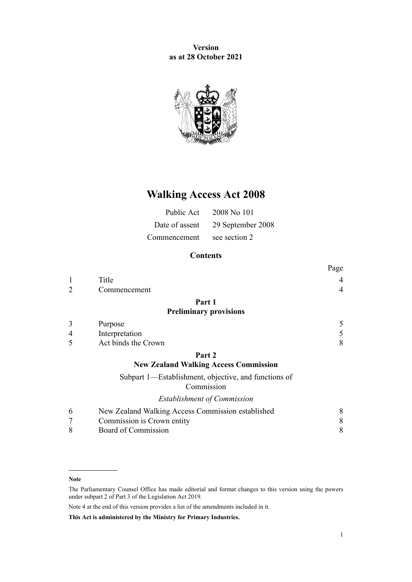**Version as at 28 October 2021**



# **Walking Access Act 2008**

| Public Act     | 2008 No 101       |
|----------------|-------------------|
| Date of assent | 29 September 2008 |
| Commencement   | see section 2     |

# **Contents**

|   |                                                                    | Page           |
|---|--------------------------------------------------------------------|----------------|
|   | Title                                                              | 4              |
| 2 | Commencement                                                       | $\overline{4}$ |
|   | Part 1                                                             |                |
|   | <b>Preliminary provisions</b>                                      |                |
| 3 | Purpose                                                            | 5              |
| 4 | Interpretation                                                     | 5              |
| 5 | Act binds the Crown                                                | 8              |
|   | Part 2                                                             |                |
|   | <b>New Zealand Walking Access Commission</b>                       |                |
|   | Subpart 1—Establishment, objective, and functions of<br>Commission |                |
|   | <b>Establishment of Commission</b>                                 |                |
| 6 | New Zealand Walking Access Commission established                  | 8              |
| 7 | Commission is Crown entity                                         | 8              |
| 8 | Board of Commission                                                | 8              |

**This Act is administered by the Ministry for Primary Industries.**

**Note**

The Parliamentary Counsel Office has made editorial and format changes to this version using the powers under [subpart 2](http://legislation.govt.nz/pdflink.aspx?id=DLM7298371) of Part 3 of the Legislation Act 2019.

Note 4 at the end of this version provides a list of the amendments included in it.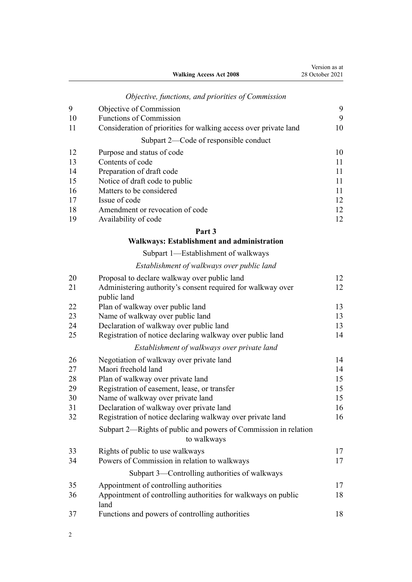**Walking Access Act 2008**

|  |  | Objective, functions, and priorities of Commission |
|--|--|----------------------------------------------------|
|  |  |                                                    |

| Objective of Commission                                          | 9  |
|------------------------------------------------------------------|----|
| <b>Functions of Commission</b>                                   | 9  |
| Consideration of priorities for walking access over private land | 10 |
| Subpart 2—Code of responsible conduct                            |    |
| Purpose and status of code                                       | 10 |
| Contents of code                                                 | 11 |
| Preparation of draft code                                        | 11 |
| Notice of draft code to public                                   | 11 |
| Matters to be considered                                         | 11 |
| Issue of code                                                    | 12 |
| Amendment or revocation of code                                  | 12 |
| Availability of code                                             | 12 |
|                                                                  |    |

# **[Part 3](#page-11-0)**

# **[Walkways: Establishment and administration](#page-11-0)**

# [Subpart 1—Establishment of walkways](#page-11-0)

# *[Establishment of walkways over public land](#page-11-0)*

| 20 | Proposal to declare walkway over public land                                   | 12 |
|----|--------------------------------------------------------------------------------|----|
| 21 | Administering authority's consent required for walkway over<br>public land     | 12 |
| 22 | Plan of walkway over public land                                               | 13 |
| 23 | Name of walkway over public land                                               | 13 |
| 24 | Declaration of walkway over public land                                        | 13 |
| 25 | Registration of notice declaring walkway over public land                      | 14 |
|    | Establishment of walkways over private land                                    |    |
| 26 | Negotiation of walkway over private land                                       | 14 |
| 27 | Maori freehold land                                                            | 14 |
| 28 | Plan of walkway over private land                                              | 15 |
| 29 | Registration of easement, lease, or transfer                                   | 15 |
| 30 | Name of walkway over private land                                              | 15 |
| 31 | Declaration of walkway over private land                                       | 16 |
| 32 | Registration of notice declaring walkway over private land                     | 16 |
|    | Subpart 2—Rights of public and powers of Commission in relation<br>to walkways |    |
| 33 | Rights of public to use walkways                                               | 17 |
| 34 | Powers of Commission in relation to walkways                                   | 17 |
|    | Subpart 3—Controlling authorities of walkways                                  |    |
| 35 | Appointment of controlling authorities                                         | 17 |
| 36 | Appointment of controlling authorities for walkways on public<br>land          | 18 |
| 37 | Functions and powers of controlling authorities                                | 18 |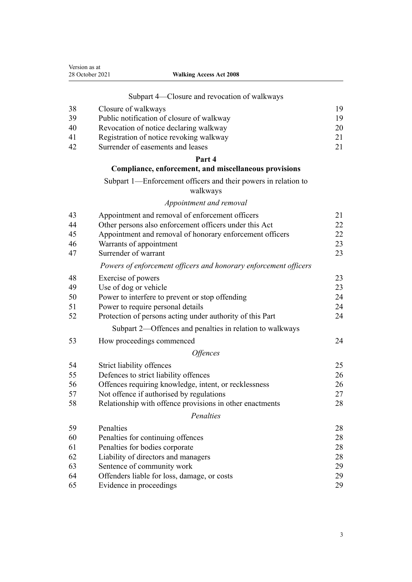| Version as at<br>28 October 2021<br><b>Walking Access Act 2008</b> |                                                                            |    |
|--------------------------------------------------------------------|----------------------------------------------------------------------------|----|
|                                                                    | Subpart 4—Closure and revocation of walkways                               |    |
| 38                                                                 | Closure of walkways                                                        | 19 |
| 39                                                                 | Public notification of closure of walkway                                  | 19 |
| 40                                                                 | Revocation of notice declaring walkway                                     | 20 |
| 41                                                                 | Registration of notice revoking walkway                                    | 21 |
| 42                                                                 | Surrender of easements and leases                                          | 21 |
|                                                                    | Part 4                                                                     |    |
|                                                                    | Compliance, enforcement, and miscellaneous provisions                      |    |
|                                                                    | Subpart 1—Enforcement officers and their powers in relation to<br>walkways |    |
|                                                                    | Appointment and removal                                                    |    |
| 43                                                                 | Appointment and removal of enforcement officers                            | 21 |
| 44                                                                 | Other persons also enforcement officers under this Act                     | 22 |
| 45                                                                 | Appointment and removal of honorary enforcement officers                   | 22 |
| 46                                                                 | Warrants of appointment                                                    | 23 |
| 47                                                                 | Surrender of warrant                                                       | 23 |
|                                                                    | Powers of enforcement officers and honorary enforcement officers           |    |
| 48                                                                 | Exercise of powers                                                         | 23 |
| 49                                                                 | Use of dog or vehicle                                                      | 23 |
| 50                                                                 | Power to interfere to prevent or stop offending                            | 24 |
| 51                                                                 | Power to require personal details                                          | 24 |
| 52                                                                 | Protection of persons acting under authority of this Part                  | 24 |
|                                                                    | Subpart 2—Offences and penalties in relation to walkways                   |    |
| 53                                                                 | How proceedings commenced                                                  | 24 |
|                                                                    | <i><b>Offences</b></i>                                                     |    |
| 54                                                                 | Strict liability offences                                                  | 25 |
| 55                                                                 | Defences to strict liability offences                                      | 26 |
| 56                                                                 | Offences requiring knowledge, intent, or recklessness                      | 26 |
| 57                                                                 | Not offence if authorised by regulations                                   | 27 |
| 58                                                                 | Relationship with offence provisions in other enactments                   | 28 |
|                                                                    | Penalties                                                                  |    |
| 59                                                                 | Penalties                                                                  | 28 |
| 60                                                                 | Penalties for continuing offences                                          | 28 |
| 61                                                                 | Penalties for bodies corporate                                             | 28 |
| 62                                                                 | Liability of directors and managers                                        | 28 |
| 63                                                                 | Sentence of community work                                                 | 29 |
| 64                                                                 | Offenders liable for loss, damage, or costs                                | 29 |
| 65                                                                 | Evidence in proceedings                                                    | 29 |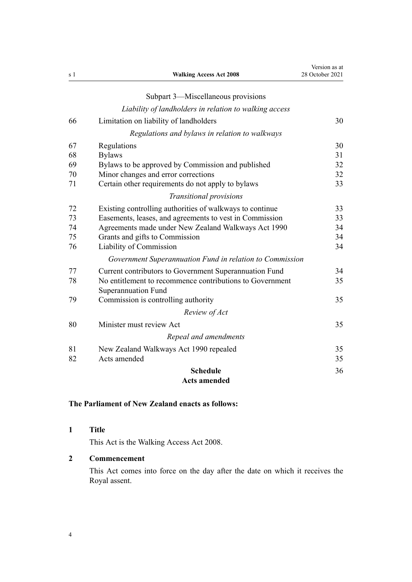<span id="page-3-0"></span>

| s 1 | <b>Walking Access Act 2008</b>                           | Version as at<br>28 October 2021 |
|-----|----------------------------------------------------------|----------------------------------|
|     | Subpart 3-Miscellaneous provisions                       |                                  |
|     |                                                          |                                  |
|     | Liability of landholders in relation to walking access   |                                  |
| 66  | Limitation on liability of landholders                   | 30                               |
|     | Regulations and bylaws in relation to walkways           |                                  |
| 67  | Regulations                                              | 30                               |
| 68  | <b>Bylaws</b>                                            | 31                               |
| 69  | Bylaws to be approved by Commission and published        | 32                               |
| 70  | Minor changes and error corrections                      | 32                               |
| 71  | Certain other requirements do not apply to bylaws        | 33                               |
|     | Transitional provisions                                  |                                  |
| 72  | Existing controlling authorities of walkways to continue | 33                               |
| 73  | Easements, leases, and agreements to vest in Commission  | 33                               |
| 74  | Agreements made under New Zealand Walkways Act 1990      | 34                               |
| 75  | Grants and gifts to Commission                           | 34                               |
| 76  | Liability of Commission                                  | 34                               |
|     | Government Superannuation Fund in relation to Commission |                                  |
| 77  | Current contributors to Government Superannuation Fund   | 34                               |
| 78  | No entitlement to recommence contributions to Government | 35                               |
|     | Superannuation Fund                                      |                                  |
| 79  | Commission is controlling authority                      | 35                               |
|     | Review of Act                                            |                                  |
| 80  | Minister must review Act                                 | 35                               |
|     | Repeal and amendments                                    |                                  |
| 81  | New Zealand Walkways Act 1990 repealed                   | 35                               |
| 82  | Acts amended                                             | 35                               |
|     | <b>Schedule</b>                                          | 36                               |
|     | <b>Acts amended</b>                                      |                                  |

# **The Parliament of New Zealand enacts as follows:**

**1 Title**

This Act is the Walking Access Act 2008.

# **2 Commencement**

This Act comes into force on the day after the date on which it receives the Royal assent.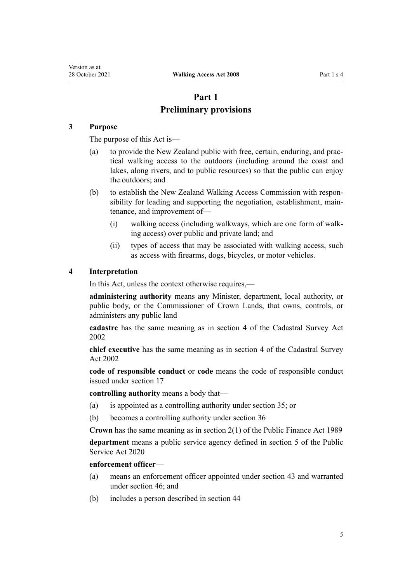# **Part 1 Preliminary provisions**

## <span id="page-4-0"></span>**3 Purpose**

The purpose of this Act is—

- (a) to provide the New Zealand public with free, certain, enduring, and prac‐ tical walking access to the outdoors (including around the coast and lakes, along rivers, and to public resources) so that the public can enjoy the outdoors; and
- (b) to establish the New Zealand Walking Access Commission with responsibility for leading and supporting the negotiation, establishment, main‐ tenance, and improvement of—
	- (i) walking access (including walkways, which are one form of walk‐ ing access) over public and private land; and
	- (ii) types of access that may be associated with walking access, such as access with firearms, dogs, bicycles, or motor vehicles.

#### **4 Interpretation**

In this Act, unless the context otherwise requires,—

**administering authority** means any Minister, department, local authority, or public body, or the Commissioner of Crown Lands, that owns, controls, or administers any public land

**cadastre** has the same meaning as in [section 4](http://legislation.govt.nz/pdflink.aspx?id=DLM142402) of the Cadastral Survey Act 2002

**chief executive** has the same meaning as in [section 4](http://legislation.govt.nz/pdflink.aspx?id=DLM142402) of the Cadastral Survey Act 2002

**code of responsible conduct** or **code** means the code of responsible conduct issued under [section 17](#page-11-0)

**controlling authority** means a body that—

- (a) is appointed as a controlling authority under [section 35](#page-16-0); or
- (b) becomes a controlling authority under [section 36](#page-17-0)

**Crown** has the same meaning as in [section 2\(1\)](http://legislation.govt.nz/pdflink.aspx?id=DLM160819) of the Public Finance Act 1989

**department** means a public service agency defined in [section 5](http://legislation.govt.nz/pdflink.aspx?id=LMS356868) of the Public Service Act 2020

#### **enforcement officer**—

- (a) means an enforcement officer appointed under [section 43](#page-20-0) and warranted under [section 46](#page-22-0); and
- (b) includes a person described in [section 44](#page-21-0)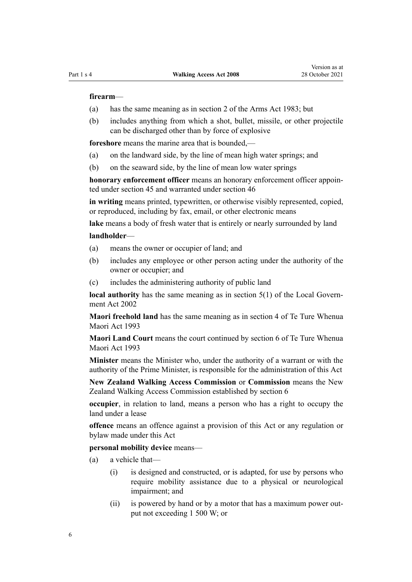#### **firearm**—

- (a) has the same meaning as in [section 2](http://legislation.govt.nz/pdflink.aspx?id=DLM72627) of the Arms Act 1983; but
- (b) includes anything from which a shot, bullet, missile, or other projectile can be discharged other than by force of explosive

**foreshore** means the marine area that is bounded,—

- (a) on the landward side, by the line of mean high water springs; and
- (b) on the seaward side, by the line of mean low water springs

**honorary enforcement officer** means an honorary enforcement officer appointed under [section 45](#page-21-0) and warranted under [section 46](#page-22-0)

**in writing** means printed, typewritten, or otherwise visibly represented, copied, or reproduced, including by fax, email, or other electronic means

**lake** means a body of fresh water that is entirely or nearly surrounded by land

#### **landholder**—

- (a) means the owner or occupier of land; and
- (b) includes any employee or other person acting under the authority of the owner or occupier; and
- (c) includes the administering authority of public land

**local authority** has the same meaning as in [section 5\(1\)](http://legislation.govt.nz/pdflink.aspx?id=DLM170881) of the Local Government Act 2002

**Maori freehold land** has the same meaning as in [section 4](http://legislation.govt.nz/pdflink.aspx?id=DLM289897) of Te Ture Whenua Maori Act 1993

**Maori Land Court** means the court continued by [section 6](http://legislation.govt.nz/pdflink.aspx?id=DLM290517) of Te Ture Whenua Maori Act 1993

**Minister** means the Minister who, under the authority of a warrant or with the authority of the Prime Minister, is responsible for the administration of this Act

**New Zealand Walking Access Commission** or **Commission** means the New Zealand Walking Access Commission established by [section 6](#page-7-0)

**occupier**, in relation to land, means a person who has a right to occupy the land under a lease

**offence** means an offence against a provision of this Act or any regulation or bylaw made under this Act

**personal mobility device** means—

- (a) a vehicle that—
	- (i) is designed and constructed, or is adapted, for use by persons who require mobility assistance due to a physical or neurological impairment; and
	- (ii) is powered by hand or by a motor that has a maximum power out‐ put not exceeding 1 500 W; or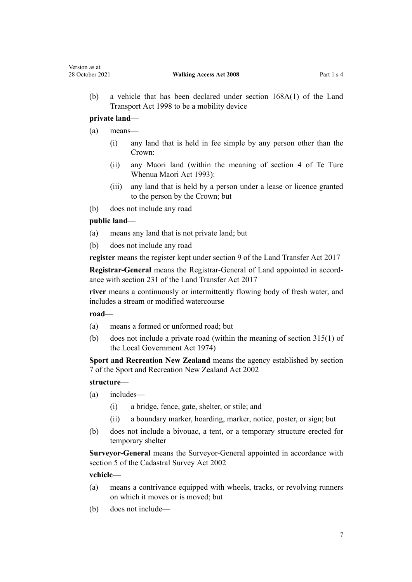(b) a vehicle that has been declared under [section 168A\(1\)](http://legislation.govt.nz/pdflink.aspx?id=DLM435415) of the Land Transport Act 1998 to be a mobility device

## **private land**—

- (a) means—
	- (i) any land that is held in fee simple by any person other than the Crown:
	- (ii) any Maori land (within the meaning of [section 4](http://legislation.govt.nz/pdflink.aspx?id=DLM289897) of Te Ture Whenua Maori Act 1993):
	- (iii) any land that is held by a person under a lease or licence granted to the person by the Crown; but
- (b) does not include any road

# **public land**—

- (a) means any land that is not private land; but
- (b) does not include any road

**register** means the register kept under [section 9](http://legislation.govt.nz/pdflink.aspx?id=DLM6731117) of the Land Transfer Act 2017

**Registrar-General** means the Registrar-General of Land appointed in accord‐ ance with [section 231](http://legislation.govt.nz/pdflink.aspx?id=DLM6731451) of the Land Transfer Act 2017

**river** means a continuously or intermittently flowing body of fresh water, and includes a stream or modified watercourse

## **road**—

- (a) means a formed or unformed road; but
- (b) does not include a private road (within the meaning of [section 315\(1\)](http://legislation.govt.nz/pdflink.aspx?id=DLM420326) of the Local Government Act 1974)

**Sport and Recreation New Zealand** means the agency established by [section](http://legislation.govt.nz/pdflink.aspx?id=DLM157167) [7](http://legislation.govt.nz/pdflink.aspx?id=DLM157167) of the Sport and Recreation New Zealand Act 2002

#### **structure**—

- (a) includes—
	- (i) a bridge, fence, gate, shelter, or stile; and
	- (ii) a boundary marker, hoarding, marker, notice, poster, or sign; but
- (b) does not include a bivouac, a tent, or a temporary structure erected for temporary shelter

**Surveyor-General** means the Surveyor-General appointed in accordance with [section 5](http://legislation.govt.nz/pdflink.aspx?id=DLM142447) of the Cadastral Survey Act 2002

#### **vehicle**—

- (a) means a contrivance equipped with wheels, tracks, or revolving runners on which it moves or is moved; but
- (b) does not include—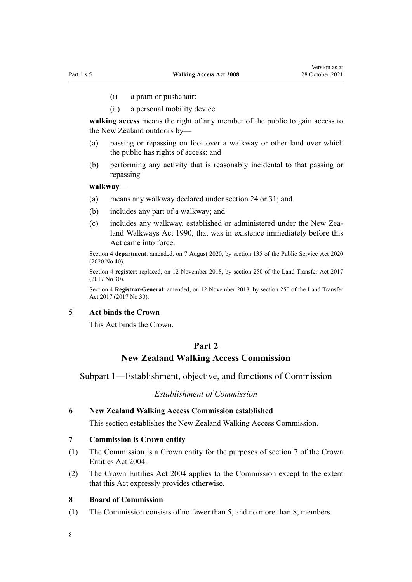- <span id="page-7-0"></span>(i) a pram or pushchair:
- (ii) a personal mobility device

**walking access** means the right of any member of the public to gain access to the New Zealand outdoors by—

- (a) passing or repassing on foot over a walkway or other land over which the public has rights of access; and
- (b) performing any activity that is reasonably incidental to that passing or repassing

#### **walkway**—

- (a) means any walkway declared under [section 24](#page-12-0) or [31;](#page-15-0) and
- (b) includes any part of a walkway; and
- (c) includes any walkway, established or administered under the New Zea[land Walkways Act 1990](http://legislation.govt.nz/pdflink.aspx?id=DLM209477), that was in existence immediately before this Act came into force.

Section 4 **department**: amended, on 7 August 2020, by [section 135](http://legislation.govt.nz/pdflink.aspx?id=LMS176959) of the Public Service Act 2020 (2020 No 40).

Section 4 **register**: replaced, on 12 November 2018, by [section 250](http://legislation.govt.nz/pdflink.aspx?id=DLM6731493) of the Land Transfer Act 2017 (2017 No 30).

Section 4 **Registrar-General**: amended, on 12 November 2018, by [section 250](http://legislation.govt.nz/pdflink.aspx?id=DLM6731493) of the Land Transfer Act 2017 (2017 No 30).

#### **5 Act binds the Crown**

This Act binds the Crown.

# **Part 2**

# **New Zealand Walking Access Commission**

Subpart 1—Establishment, objective, and functions of Commission

#### *Establishment of Commission*

#### **6 New Zealand Walking Access Commission established**

This section establishes the New Zealand Walking Access Commission.

#### **7 Commission is Crown entity**

- (1) The Commission is a Crown entity for the purposes of [section 7](http://legislation.govt.nz/pdflink.aspx?id=DLM329641) of the Crown Entities Act 2004.
- (2) The [Crown Entities Act 2004](http://legislation.govt.nz/pdflink.aspx?id=DLM329630) applies to the Commission except to the extent that this Act expressly provides otherwise.

#### **8 Board of Commission**

(1) The Commission consists of no fewer than 5, and no more than 8, members.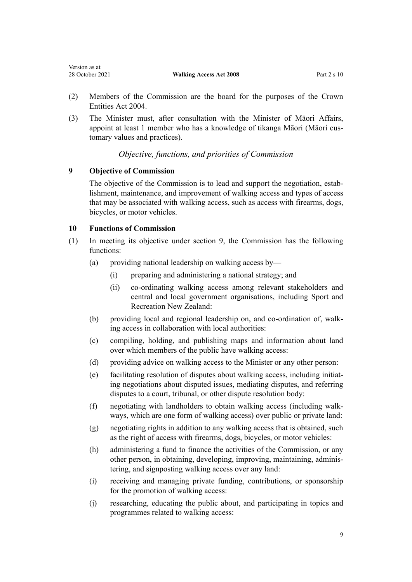- <span id="page-8-0"></span>(2) Members of the Commission are the board for the purposes of the [Crown](http://legislation.govt.nz/pdflink.aspx?id=DLM329630) [Entities Act 2004.](http://legislation.govt.nz/pdflink.aspx?id=DLM329630)
- (3) The Minister must, after consultation with the Minister of Māori Affairs, appoint at least 1 member who has a knowledge of tikanga Māori (Māori cus‐ tomary values and practices).

# *Objective, functions, and priorities of Commission*

# **9 Objective of Commission**

The objective of the Commission is to lead and support the negotiation, establishment, maintenance, and improvement of walking access and types of access that may be associated with walking access, such as access with firearms, dogs, bicycles, or motor vehicles.

# **10 Functions of Commission**

- (1) In meeting its objective under section 9, the Commission has the following functions:
	- (a) providing national leadership on walking access by—
		- (i) preparing and administering a national strategy; and
		- (ii) co-ordinating walking access among relevant stakeholders and central and local government organisations, including Sport and Recreation New Zealand:
	- (b) providing local and regional leadership on, and co-ordination of, walking access in collaboration with local authorities:
	- (c) compiling, holding, and publishing maps and information about land over which members of the public have walking access:
	- (d) providing advice on walking access to the Minister or any other person:
	- (e) facilitating resolution of disputes about walking access, including initiat‐ ing negotiations about disputed issues, mediating disputes, and referring disputes to a court, tribunal, or other dispute resolution body:
	- (f) negotiating with landholders to obtain walking access (including walk‐ ways, which are one form of walking access) over public or private land:
	- (g) negotiating rights in addition to any walking access that is obtained, such as the right of access with firearms, dogs, bicycles, or motor vehicles:
	- (h) administering a fund to finance the activities of the Commission, or any other person, in obtaining, developing, improving, maintaining, adminis‐ tering, and signposting walking access over any land:
	- (i) receiving and managing private funding, contributions, or sponsorship for the promotion of walking access:
	- (j) researching, educating the public about, and participating in topics and programmes related to walking access: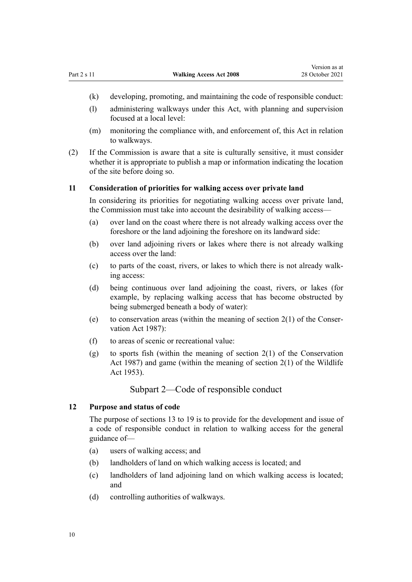- <span id="page-9-0"></span>(k) developing, promoting, and maintaining the code of responsible conduct:
- (l) administering walkways under this Act, with planning and supervision focused at a local level:
- (m) monitoring the compliance with, and enforcement of, this Act in relation to walkways.
- (2) If the Commission is aware that a site is culturally sensitive, it must consider whether it is appropriate to publish a map or information indicating the location of the site before doing so.

#### **11 Consideration of priorities for walking access over private land**

In considering its priorities for negotiating walking access over private land, the Commission must take into account the desirability of walking access—

- (a) over land on the coast where there is not already walking access over the foreshore or the land adjoining the foreshore on its landward side:
- (b) over land adjoining rivers or lakes where there is not already walking access over the land:
- (c) to parts of the coast, rivers, or lakes to which there is not already walk‐ ing access:
- (d) being continuous over land adjoining the coast, rivers, or lakes (for example, by replacing walking access that has become obstructed by being submerged beneath a body of water):
- (e) to conservation areas (within the meaning of section  $2(1)$  of the Conservation Act 1987):
- (f) to areas of scenic or recreational value:
- (g) to sports fish (within the meaning of section  $2(1)$  of the Conservation Act 1987) and game (within the meaning of [section 2\(1\)](http://legislation.govt.nz/pdflink.aspx?id=DLM276819) of the Wildlife Act 1953).

## Subpart 2—Code of responsible conduct

### **12 Purpose and status of code**

The purpose of [sections 13 to 19](#page-10-0) is to provide for the development and issue of a code of responsible conduct in relation to walking access for the general guidance of—

- (a) users of walking access; and
- (b) landholders of land on which walking access is located; and
- (c) landholders of land adjoining land on which walking access is located; and
- (d) controlling authorities of walkways.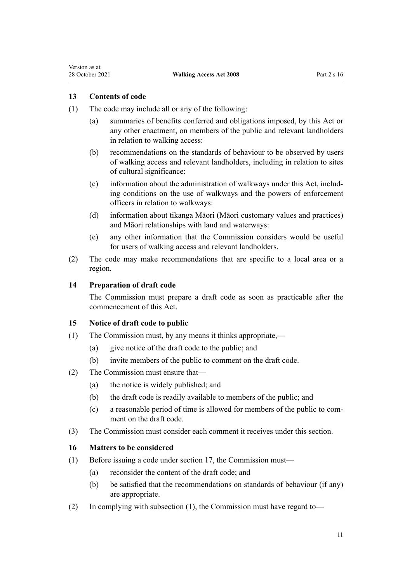# <span id="page-10-0"></span>**13 Contents of code**

- (1) The code may include all or any of the following:
	- (a) summaries of benefits conferred and obligations imposed, by this Act or any other enactment, on members of the public and relevant landholders in relation to walking access:
	- (b) recommendations on the standards of behaviour to be observed by users of walking access and relevant landholders, including in relation to sites of cultural significance:
	- (c) information about the administration of walkways under this Act, includ‐ ing conditions on the use of walkways and the powers of enforcement officers in relation to walkways:
	- (d) information about tikanga Māori (Māori customary values and practices) and Māori relationships with land and waterways:
	- (e) any other information that the Commission considers would be useful for users of walking access and relevant landholders.
- (2) The code may make recommendations that are specific to a local area or a region.

### **14 Preparation of draft code**

The Commission must prepare a draft code as soon as practicable after the commencement of this Act.

#### **15 Notice of draft code to public**

- (1) The Commission must, by any means it thinks appropriate,—
	- (a) give notice of the draft code to the public; and
	- (b) invite members of the public to comment on the draft code.
- (2) The Commission must ensure that—
	- (a) the notice is widely published; and
	- (b) the draft code is readily available to members of the public; and
	- (c) a reasonable period of time is allowed for members of the public to com‐ ment on the draft code.
- (3) The Commission must consider each comment it receives under this section.

#### **16 Matters to be considered**

- (1) Before issuing a code under [section 17](#page-11-0), the Commission must—
	- (a) reconsider the content of the draft code; and
	- (b) be satisfied that the recommendations on standards of behaviour (if any) are appropriate.
- (2) In complying with subsection (1), the Commission must have regard to—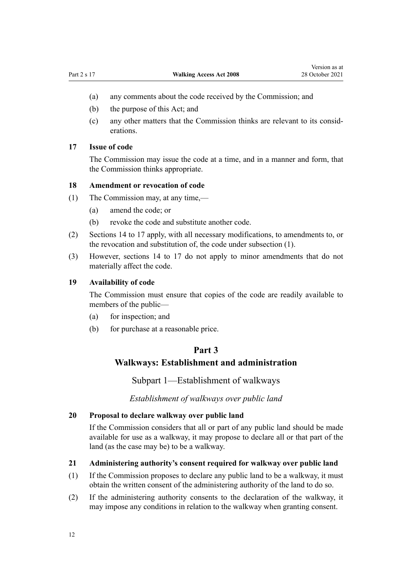- <span id="page-11-0"></span>(a) any comments about the code received by the Commission; and
- (b) the purpose of this Act; and
- (c) any other matters that the Commission thinks are relevant to its consid‐ erations.

## **17 Issue of code**

The Commission may issue the code at a time, and in a manner and form, that the Commission thinks appropriate.

## **18 Amendment or revocation of code**

- (1) The Commission may, at any time,—
	- (a) amend the code; or
	- (b) revoke the code and substitute another code.
- (2) [Sections 14 to 17](#page-10-0) apply, with all necessary modifications, to amendments to, or the revocation and substitution of, the code under subsection (1).
- (3) However, [sections 14 to 17](#page-10-0) do not apply to minor amendments that do not materially affect the code.

#### **19 Availability of code**

The Commission must ensure that copies of the code are readily available to members of the public—

- (a) for inspection; and
- (b) for purchase at a reasonable price.

## **Part 3**

# **Walkways: Establishment and administration**

Subpart 1—Establishment of walkways

*Establishment of walkways over public land*

## **20 Proposal to declare walkway over public land**

If the Commission considers that all or part of any public land should be made available for use as a walkway, it may propose to declare all or that part of the land (as the case may be) to be a walkway.

#### **21 Administering authority's consent required for walkway over public land**

- (1) If the Commission proposes to declare any public land to be a walkway, it must obtain the written consent of the administering authority of the land to do so.
- (2) If the administering authority consents to the declaration of the walkway, it may impose any conditions in relation to the walkway when granting consent.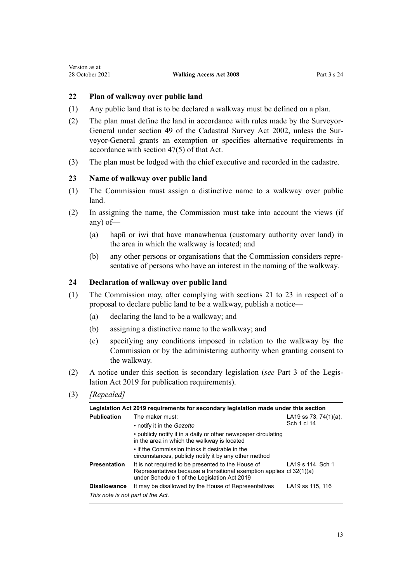# <span id="page-12-0"></span>**22 Plan of walkway over public land**

- (1) Any public land that is to be declared a walkway must be defined on a plan.
- (2) The plan must define the land in accordance with rules made by the Surveyor-General under [section 49](http://legislation.govt.nz/pdflink.aspx?id=DLM142600) of the Cadastral Survey Act 2002, unless the Sur‐ veyor-General grants an exemption or specifies alternative requirements in accordance with [section 47\(5\)](http://legislation.govt.nz/pdflink.aspx?id=DLM142498) of that Act.
- (3) The plan must be lodged with the chief executive and recorded in the cadastre.

## **23 Name of walkway over public land**

- (1) The Commission must assign a distinctive name to a walkway over public land.
- (2) In assigning the name, the Commission must take into account the views (if any) of—
	- (a) hapū or iwi that have manawhenua (customary authority over land) in the area in which the walkway is located; and
	- (b) any other persons or organisations that the Commission considers repre‐ sentative of persons who have an interest in the naming of the walkway.

#### **24 Declaration of walkway over public land**

- (1) The Commission may, after complying with [sections 21 to 23](#page-11-0) in respect of a proposal to declare public land to be a walkway, publish a notice—
	- (a) declaring the land to be a walkway; and
	- (b) assigning a distinctive name to the walkway; and
	- (c) specifying any conditions imposed in relation to the walkway by the Commission or by the administering authority when granting consent to the walkway.
- (2) A notice under this section is secondary legislation (*see* [Part 3](http://legislation.govt.nz/pdflink.aspx?id=DLM7298343) of the Legis‐ lation Act 2019 for publication requirements).
- (3) *[Repealed]*

| Legislation Act 2019 requirements for secondary legislation made under this section |                                                                                                                                                                            |                                      |  |  |
|-------------------------------------------------------------------------------------|----------------------------------------------------------------------------------------------------------------------------------------------------------------------------|--------------------------------------|--|--|
| <b>Publication</b>                                                                  | The maker must:<br>• notify it in the Gazette                                                                                                                              | LA19 ss 73, 74(1)(a),<br>Sch 1 cl 14 |  |  |
|                                                                                     | • publicly notify it in a daily or other newspaper circulating<br>in the area in which the walkway is located                                                              |                                      |  |  |
|                                                                                     | • if the Commission thinks it desirable in the<br>circumstances, publicly notify it by any other method                                                                    |                                      |  |  |
| <b>Presentation</b>                                                                 | It is not required to be presented to the House of<br>Representatives because a transitional exemption applies cl 32(1)(a)<br>under Schedule 1 of the Legislation Act 2019 | LA19 s 114. Sch 1                    |  |  |
| <b>Disallowance</b>                                                                 | It may be disallowed by the House of Representatives                                                                                                                       | LA19 ss 115, 116                     |  |  |
| This note is not part of the Act.                                                   |                                                                                                                                                                            |                                      |  |  |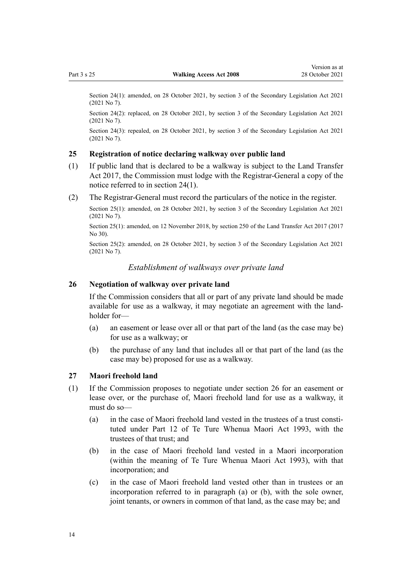<span id="page-13-0"></span>Section 24(1): amended, on 28 October 2021, by [section 3](http://legislation.govt.nz/pdflink.aspx?id=LMS268932) of the Secondary Legislation Act 2021 (2021 No 7).

Section 24(2): replaced, on 28 October 2021, by [section 3](http://legislation.govt.nz/pdflink.aspx?id=LMS268932) of the Secondary Legislation Act 2021 (2021 No 7).

Section 24(3): repealed, on 28 October 2021, by [section 3](http://legislation.govt.nz/pdflink.aspx?id=LMS268932) of the Secondary Legislation Act 2021 (2021 No 7).

#### **25 Registration of notice declaring walkway over public land**

- (1) If public land that is declared to be a walkway is subject to the [Land Transfer](http://legislation.govt.nz/pdflink.aspx?id=DLM6731002) [Act 2017,](http://legislation.govt.nz/pdflink.aspx?id=DLM6731002) the Commission must lodge with the Registrar-General a copy of the notice referred to in [section 24\(1\)](#page-12-0).
- (2) The Registrar-General must record the particulars of the notice in the register.

Section 25(1): amended, on 28 October 2021, by [section 3](http://legislation.govt.nz/pdflink.aspx?id=LMS268932) of the Secondary Legislation Act 2021 (2021 No 7).

Section 25(1): amended, on 12 November 2018, by [section 250](http://legislation.govt.nz/pdflink.aspx?id=DLM6731493) of the Land Transfer Act 2017 (2017 No 30).

Section 25(2): amended, on 28 October 2021, by [section 3](http://legislation.govt.nz/pdflink.aspx?id=LMS268932) of the Secondary Legislation Act 2021 (2021 No 7).

*Establishment of walkways over private land*

## **26 Negotiation of walkway over private land**

If the Commission considers that all or part of any private land should be made available for use as a walkway, it may negotiate an agreement with the land‐ holder for—

- (a) an easement or lease over all or that part of the land (as the case may be) for use as a walkway; or
- (b) the purchase of any land that includes all or that part of the land (as the case may be) proposed for use as a walkway.

#### **27 Maori freehold land**

- (1) If the Commission proposes to negotiate under section 26 for an easement or lease over, or the purchase of, Maori freehold land for use as a walkway, it must do so—
	- (a) in the case of Maori freehold land vested in the trustees of a trust consti‐ tuted under [Part 12](http://legislation.govt.nz/pdflink.aspx?id=DLM291869) of Te Ture Whenua Maori Act 1993, with the trustees of that trust; and
	- (b) in the case of Maori freehold land vested in a Maori incorporation (within the meaning of [Te Ture Whenua Maori Act 1993](http://legislation.govt.nz/pdflink.aspx?id=DLM289881)), with that incorporation; and
	- (c) in the case of Maori freehold land vested other than in trustees or an incorporation referred to in paragraph (a) or (b), with the sole owner, joint tenants, or owners in common of that land, as the case may be; and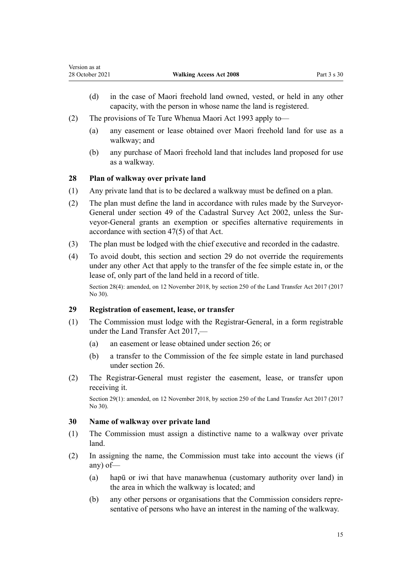- <span id="page-14-0"></span>(d) in the case of Maori freehold land owned, vested, or held in any other capacity, with the person in whose name the land is registered.
- (2) The provisions of [Te Ture Whenua Maori Act 1993](http://legislation.govt.nz/pdflink.aspx?id=DLM289881) apply to—
	- (a) any easement or lease obtained over Maori freehold land for use as a walkway; and
	- (b) any purchase of Maori freehold land that includes land proposed for use as a walkway.

## **28 Plan of walkway over private land**

- (1) Any private land that is to be declared a walkway must be defined on a plan.
- (2) The plan must define the land in accordance with rules made by the SurveyorGeneral under [section 49](http://legislation.govt.nz/pdflink.aspx?id=DLM142600) of the Cadastral Survey Act 2002, unless the Surveyor-General grants an exemption or specifies alternative requirements in accordance with [section 47\(5\)](http://legislation.govt.nz/pdflink.aspx?id=DLM142498) of that Act.
- (3) The plan must be lodged with the chief executive and recorded in the cadastre.
- (4) To avoid doubt, this section and section 29 do not override the requirements under any other Act that apply to the transfer of the fee simple estate in, or the lease of, only part of the land held in a record of title.

Section 28(4): amended, on 12 November 2018, by [section 250](http://legislation.govt.nz/pdflink.aspx?id=DLM6731493) of the Land Transfer Act 2017 (2017 No 30).

## **29 Registration of easement, lease, or transfer**

- (1) The Commission must lodge with the Registrar-General, in a form registrable under the [Land Transfer Act 2017,](http://legislation.govt.nz/pdflink.aspx?id=DLM6731002)—
	- (a) an easement or lease obtained under [section 26](#page-13-0); or
	- (b) a transfer to the Commission of the fee simple estate in land purchased under [section 26](#page-13-0).
- (2) The Registrar-General must register the easement, lease, or transfer upon receiving it.

Section 29(1): amended, on 12 November 2018, by [section 250](http://legislation.govt.nz/pdflink.aspx?id=DLM6731493) of the Land Transfer Act 2017 (2017 No 30).

### **30 Name of walkway over private land**

- (1) The Commission must assign a distinctive name to a walkway over private land.
- (2) In assigning the name, the Commission must take into account the views (if any) of—
	- (a) hapū or iwi that have manawhenua (customary authority over land) in the area in which the walkway is located; and
	- (b) any other persons or organisations that the Commission considers repre‐ sentative of persons who have an interest in the naming of the walkway.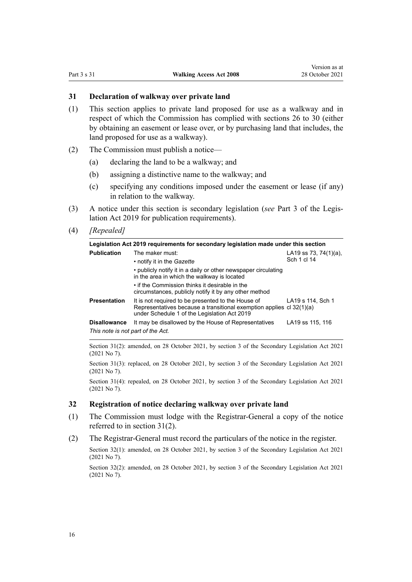#### <span id="page-15-0"></span>**31 Declaration of walkway over private land**

- (1) This section applies to private land proposed for use as a walkway and in respect of which the Commission has complied with [sections 26 to 30](#page-13-0) (either by obtaining an easement or lease over, or by purchasing land that includes, the land proposed for use as a walkway).
- (2) The Commission must publish a notice—
	- (a) declaring the land to be a walkway; and
	- (b) assigning a distinctive name to the walkway; and
	- (c) specifying any conditions imposed under the easement or lease (if any) in relation to the walkway.
- (3) A notice under this section is secondary legislation (*see* [Part 3](http://legislation.govt.nz/pdflink.aspx?id=DLM7298343) of the Legis‐ lation Act 2019 for publication requirements).
- (4) *[Repealed]*

| Legislation Act 2019 requirements for secondary legislation made under this section |                                                                                                                                                                            |                       |  |  |
|-------------------------------------------------------------------------------------|----------------------------------------------------------------------------------------------------------------------------------------------------------------------------|-----------------------|--|--|
| <b>Publication</b>                                                                  | The maker must:                                                                                                                                                            | LA19 ss 73, 74(1)(a), |  |  |
|                                                                                     | • notify it in the <i>Gazette</i>                                                                                                                                          | Sch 1 cl 14           |  |  |
|                                                                                     | • publicly notify it in a daily or other newspaper circulating<br>in the area in which the walkway is located                                                              |                       |  |  |
|                                                                                     | • if the Commission thinks it desirable in the<br>circumstances, publicly notify it by any other method                                                                    |                       |  |  |
| <b>Presentation</b>                                                                 | It is not required to be presented to the House of<br>Representatives because a transitional exemption applies cl 32(1)(a)<br>under Schedule 1 of the Legislation Act 2019 | LA19 s 114, Sch 1     |  |  |
| <b>Disallowance</b>                                                                 | It may be disallowed by the House of Representatives                                                                                                                       | LA19 ss 115, 116      |  |  |
| This note is not part of the Act.                                                   |                                                                                                                                                                            |                       |  |  |

Section 31(2): amended, on 28 October 2021, by [section 3](http://legislation.govt.nz/pdflink.aspx?id=LMS268932) of the Secondary Legislation Act 2021 (2021 No 7).

Section 31(3): replaced, on 28 October 2021, by [section 3](http://legislation.govt.nz/pdflink.aspx?id=LMS268932) of the Secondary Legislation Act 2021 (2021 No 7).

Section 31(4): repealed, on 28 October 2021, by [section 3](http://legislation.govt.nz/pdflink.aspx?id=LMS268932) of the Secondary Legislation Act 2021 (2021 No 7).

#### **32 Registration of notice declaring walkway over private land**

- (1) The Commission must lodge with the Registrar-General a copy of the notice referred to in section 31(2).
- (2) The Registrar-General must record the particulars of the notice in the register.

Section 32(1): amended, on 28 October 2021, by [section 3](http://legislation.govt.nz/pdflink.aspx?id=LMS268932) of the Secondary Legislation Act 2021 (2021 No 7).

Section 32(2): amended, on 28 October 2021, by [section 3](http://legislation.govt.nz/pdflink.aspx?id=LMS268932) of the Secondary Legislation Act 2021 (2021 No 7).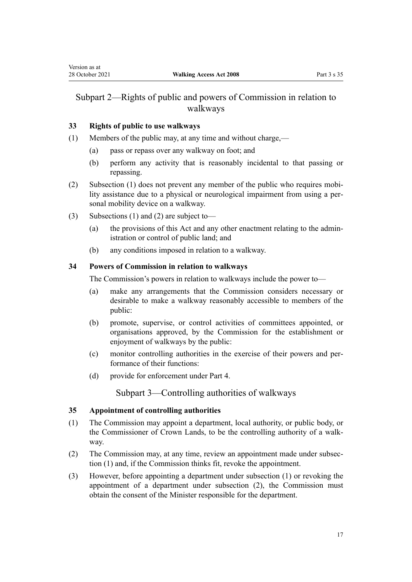# <span id="page-16-0"></span>Subpart 2—Rights of public and powers of Commission in relation to walkways

## **33 Rights of public to use walkways**

- (1) Members of the public may, at any time and without charge,—
	- (a) pass or repass over any walkway on foot; and
	- (b) perform any activity that is reasonably incidental to that passing or repassing.
- (2) Subsection (1) does not prevent any member of the public who requires mobi‐ lity assistance due to a physical or neurological impairment from using a per‐ sonal mobility device on a walkway.
- (3) Subsections (1) and (2) are subject to—
	- (a) the provisions of this Act and any other enactment relating to the admin‐ istration or control of public land; and
	- (b) any conditions imposed in relation to a walkway.

### **34 Powers of Commission in relation to walkways**

The Commission's powers in relation to walkways include the power to—

- (a) make any arrangements that the Commission considers necessary or desirable to make a walkway reasonably accessible to members of the public:
- (b) promote, supervise, or control activities of committees appointed, or organisations approved, by the Commission for the establishment or enjoyment of walkways by the public:
- (c) monitor controlling authorities in the exercise of their powers and per‐ formance of their functions:
- (d) provide for enforcement under [Part 4](#page-20-0).

Subpart 3—Controlling authorities of walkways

### **35 Appointment of controlling authorities**

- (1) The Commission may appoint a department, local authority, or public body, or the Commissioner of Crown Lands, to be the controlling authority of a walk‐ way.
- (2) The Commission may, at any time, review an appointment made under subsec‐ tion (1) and, if the Commission thinks fit, revoke the appointment.
- (3) However, before appointing a department under subsection (1) or revoking the appointment of a department under subsection (2), the Commission must obtain the consent of the Minister responsible for the department.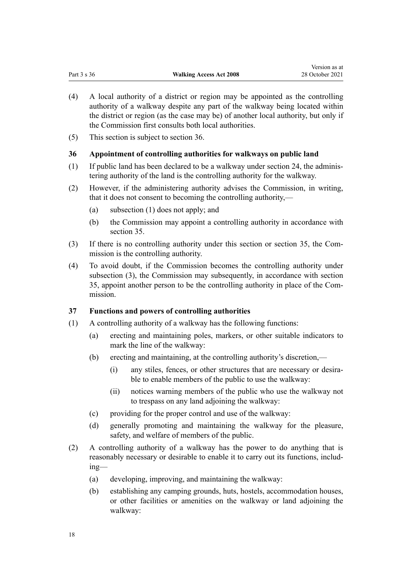- <span id="page-17-0"></span>(4) A local authority of a district or region may be appointed as the controlling authority of a walkway despite any part of the walkway being located within the district or region (as the case may be) of another local authority, but only if the Commission first consults both local authorities.
- (5) This section is subject to section 36.

## **36 Appointment of controlling authorities for walkways on public land**

- $(1)$  If public land has been declared to be a walkway under [section 24](#page-12-0), the administering authority of the land is the controlling authority for the walkway.
- (2) However, if the administering authority advises the Commission, in writing, that it does not consent to becoming the controlling authority,—
	- (a) subsection (1) does not apply; and
	- (b) the Commission may appoint a controlling authority in accordance with [section 35](#page-16-0).
- (3) If there is no controlling authority under this section or [section 35,](#page-16-0) the Com‐ mission is the controlling authority.
- (4) To avoid doubt, if the Commission becomes the controlling authority under subsection (3), the Commission may subsequently, in accordance with [section](#page-16-0) [35,](#page-16-0) appoint another person to be the controlling authority in place of the Com‐ mission.

## **37 Functions and powers of controlling authorities**

- (1) A controlling authority of a walkway has the following functions:
	- (a) erecting and maintaining poles, markers, or other suitable indicators to mark the line of the walkway:
	- (b) erecting and maintaining, at the controlling authority's discretion,—
		- (i) any stiles, fences, or other structures that are necessary or desira‐ ble to enable members of the public to use the walkway:
		- (ii) notices warning members of the public who use the walkway not to trespass on any land adjoining the walkway:
	- (c) providing for the proper control and use of the walkway:
	- (d) generally promoting and maintaining the walkway for the pleasure, safety, and welfare of members of the public.
- (2) A controlling authority of a walkway has the power to do anything that is reasonably necessary or desirable to enable it to carry out its functions, includ‐ ing—
	- (a) developing, improving, and maintaining the walkway:
	- (b) establishing any camping grounds, huts, hostels, accommodation houses, or other facilities or amenities on the walkway or land adjoining the walkway: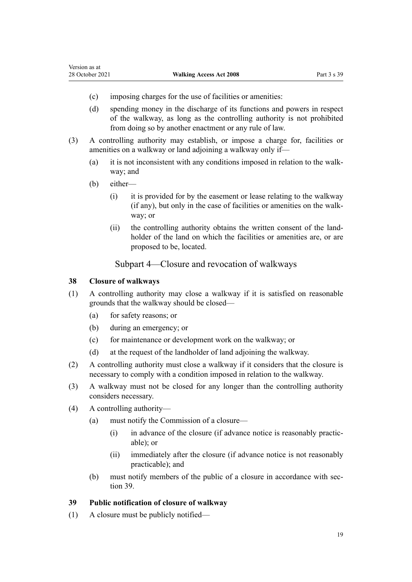- <span id="page-18-0"></span>(c) imposing charges for the use of facilities or amenities:
- (d) spending money in the discharge of its functions and powers in respect of the walkway, as long as the controlling authority is not prohibited from doing so by another enactment or any rule of law.
- (3) A controlling authority may establish, or impose a charge for, facilities or amenities on a walkway or land adjoining a walkway only if—
	- (a) it is not inconsistent with any conditions imposed in relation to the walk‐ way; and
	- (b) either—
		- (i) it is provided for by the easement or lease relating to the walkway (if any), but only in the case of facilities or amenities on the walk‐ way; or
		- (ii) the controlling authority obtains the written consent of the land‐ holder of the land on which the facilities or amenities are, or are proposed to be, located.

## Subpart 4—Closure and revocation of walkways

#### **38 Closure of walkways**

- (1) A controlling authority may close a walkway if it is satisfied on reasonable grounds that the walkway should be closed—
	- (a) for safety reasons; or
	- (b) during an emergency; or
	- (c) for maintenance or development work on the walkway; or
	- (d) at the request of the landholder of land adjoining the walkway.
- (2) A controlling authority must close a walkway if it considers that the closure is necessary to comply with a condition imposed in relation to the walkway.
- (3) A walkway must not be closed for any longer than the controlling authority considers necessary.
- (4) A controlling authority—
	- (a) must notify the Commission of a closure—
		- $(i)$  in advance of the closure (if advance notice is reasonably practicable); or
		- (ii) immediately after the closure (if advance notice is not reasonably practicable); and
	- (b) must notify members of the public of a closure in accordance with section 39.

## **39 Public notification of closure of walkway**

(1) A closure must be publicly notified—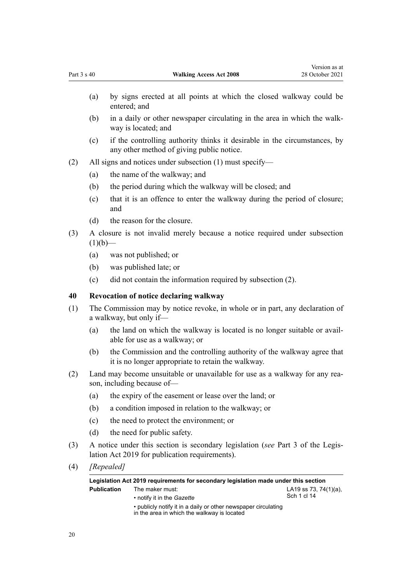- <span id="page-19-0"></span>(a) by signs erected at all points at which the closed walkway could be entered; and
- (b) in a daily or other newspaper circulating in the area in which the walk‐ way is located; and
- (c) if the controlling authority thinks it desirable in the circumstances, by any other method of giving public notice.
- (2) All signs and notices under subsection (1) must specify—
	- (a) the name of the walkway; and
	- (b) the period during which the walkway will be closed; and
	- (c) that it is an offence to enter the walkway during the period of closure; and
	- (d) the reason for the closure.
- (3) A closure is not invalid merely because a notice required under subsection  $(1)(b)$ —
	- (a) was not published; or
	- (b) was published late; or
	- (c) did not contain the information required by subsection (2).

## **40 Revocation of notice declaring walkway**

- (1) The Commission may by notice revoke, in whole or in part, any declaration of a walkway, but only if—
	- (a) the land on which the walkway is located is no longer suitable or avail‐ able for use as a walkway; or
	- (b) the Commission and the controlling authority of the walkway agree that it is no longer appropriate to retain the walkway.
- (2) Land may become unsuitable or unavailable for use as a walkway for any rea‐ son, including because of—
	- (a) the expiry of the easement or lease over the land; or
	- (b) a condition imposed in relation to the walkway; or
	- (c) the need to protect the environment; or
	- (d) the need for public safety.
- (3) A notice under this section is secondary legislation (*see* [Part 3](http://legislation.govt.nz/pdflink.aspx?id=DLM7298343) of the Legis‐ lation Act 2019 for publication requirements).
- (4) *[Repealed]*

| Legislation Act 2019 requirements for secondary legislation made under this section |                                                                                                                                                                       |                                          |  |
|-------------------------------------------------------------------------------------|-----------------------------------------------------------------------------------------------------------------------------------------------------------------------|------------------------------------------|--|
| <b>Publication</b>                                                                  | The maker must:<br>• notify it in the <i>Gazette</i><br>• publicly notify it in a daily or other newspaper circulating<br>in the area in which the walkway is located | LA19 ss 73, 74 $(1)(a)$ ,<br>Sch 1 cl 14 |  |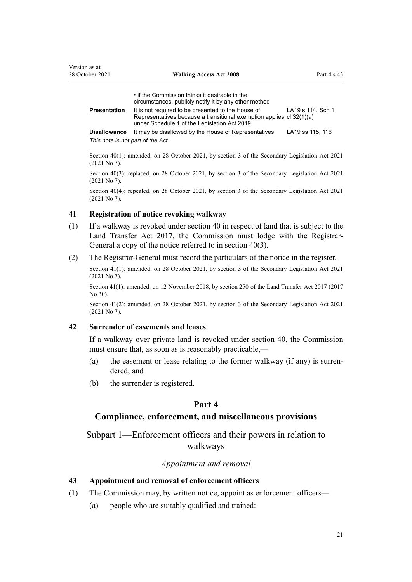<span id="page-20-0"></span>

|                                   | • if the Commission thinks it desirable in the<br>circumstances, publicly notify it by any other method                                                                    |                   |
|-----------------------------------|----------------------------------------------------------------------------------------------------------------------------------------------------------------------------|-------------------|
| Presentation                      | It is not required to be presented to the House of<br>Representatives because a transitional exemption applies cl 32(1)(a)<br>under Schedule 1 of the Legislation Act 2019 | LA19 s 114, Sch 1 |
| <b>Disallowance</b>               | It may be disallowed by the House of Representatives                                                                                                                       | LA19 ss 115, 116  |
| This note is not part of the Act. |                                                                                                                                                                            |                   |

Section 40(1): amended, on 28 October 2021, by [section 3](http://legislation.govt.nz/pdflink.aspx?id=LMS268932) of the Secondary Legislation Act 2021 (2021 No 7).

Section 40(3): replaced, on 28 October 2021, by [section 3](http://legislation.govt.nz/pdflink.aspx?id=LMS268932) of the Secondary Legislation Act 2021 (2021 No 7).

Section 40(4): repealed, on 28 October 2021, by [section 3](http://legislation.govt.nz/pdflink.aspx?id=LMS268932) of the Secondary Legislation Act 2021 (2021 No 7).

#### **41 Registration of notice revoking walkway**

- (1) If a walkway is revoked under [section 40](#page-19-0) in respect of land that is subject to the [Land Transfer Act 2017,](http://legislation.govt.nz/pdflink.aspx?id=DLM6731002) the Commission must lodge with the Registrar-General a copy of the notice referred to in [section 40\(3\)](#page-19-0).
- (2) The Registrar-General must record the particulars of the notice in the register.

Section 41(1): amended, on 28 October 2021, by [section 3](http://legislation.govt.nz/pdflink.aspx?id=LMS268932) of the Secondary Legislation Act 2021 (2021 No 7).

Section 41(1): amended, on 12 November 2018, by [section 250](http://legislation.govt.nz/pdflink.aspx?id=DLM6731493) of the Land Transfer Act 2017 (2017 No 30).

Section 41(2): amended, on 28 October 2021, by [section 3](http://legislation.govt.nz/pdflink.aspx?id=LMS268932) of the Secondary Legislation Act 2021 (2021 No 7).

#### **42 Surrender of easements and leases**

If a walkway over private land is revoked under [section 40,](#page-19-0) the Commission must ensure that, as soon as is reasonably practicable,—

- (a) the easement or lease relating to the former walkway (if any) is surrendered; and
- (b) the surrender is registered.

# **Part 4**

## **Compliance, enforcement, and miscellaneous provisions**

Subpart 1—Enforcement officers and their powers in relation to walkways

### *Appointment and removal*

## **43 Appointment and removal of enforcement officers**

- (1) The Commission may, by written notice, appoint as enforcement officers—
	- (a) people who are suitably qualified and trained: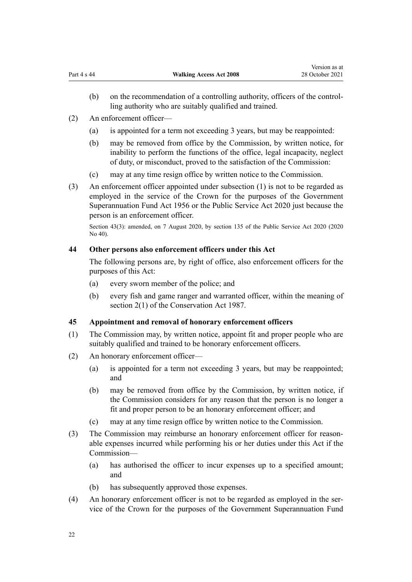- <span id="page-21-0"></span>(b) on the recommendation of a controlling authority, officers of the control‐ ling authority who are suitably qualified and trained.
- (2) An enforcement officer—
	- (a) is appointed for a term not exceeding 3 years, but may be reappointed:
	- (b) may be removed from office by the Commission, by written notice, for inability to perform the functions of the office, legal incapacity, neglect of duty, or misconduct, proved to the satisfaction of the Commission:
	- (c) may at any time resign office by written notice to the Commission.
- (3) An enforcement officer appointed under subsection (1) is not to be regarded as employed in the service of the Crown for the purposes of the [Government](http://legislation.govt.nz/pdflink.aspx?id=DLM446000) [Superannuation Fund Act 1956](http://legislation.govt.nz/pdflink.aspx?id=DLM446000) or the [Public Service Act 2020](http://legislation.govt.nz/pdflink.aspx?id=LMS106157) just because the person is an enforcement officer.

Section 43(3): amended, on 7 August 2020, by [section 135](http://legislation.govt.nz/pdflink.aspx?id=LMS176959) of the Public Service Act 2020 (2020 No 40).

#### **44 Other persons also enforcement officers under this Act**

The following persons are, by right of office, also enforcement officers for the purposes of this Act:

- (a) every sworn member of the police; and
- (b) every fish and game ranger and warranted officer, within the meaning of [section 2\(1\)](http://legislation.govt.nz/pdflink.aspx?id=DLM103616) of the Conservation Act 1987.

## **45 Appointment and removal of honorary enforcement officers**

- (1) The Commission may, by written notice, appoint fit and proper people who are suitably qualified and trained to be honorary enforcement officers.
- (2) An honorary enforcement officer—
	- (a) is appointed for a term not exceeding 3 years, but may be reappointed; and
	- (b) may be removed from office by the Commission, by written notice, if the Commission considers for any reason that the person is no longer a fit and proper person to be an honorary enforcement officer; and
	- (c) may at any time resign office by written notice to the Commission.
- (3) The Commission may reimburse an honorary enforcement officer for reasonable expenses incurred while performing his or her duties under this Act if the Commission—
	- (a) has authorised the officer to incur expenses up to a specified amount; and
	- (b) has subsequently approved those expenses.
- (4) An honorary enforcement officer is not to be regarded as employed in the service of the Crown for the purposes of the [Government Superannuation Fund](http://legislation.govt.nz/pdflink.aspx?id=DLM446000)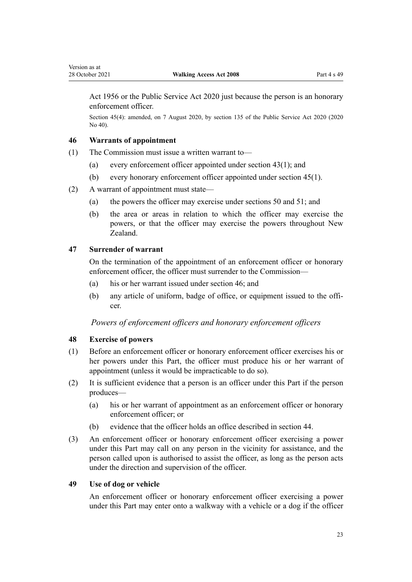<span id="page-22-0"></span>[Act 1956](http://legislation.govt.nz/pdflink.aspx?id=DLM446000) or the [Public Service Act 2020](http://legislation.govt.nz/pdflink.aspx?id=LMS106157) just because the person is an honorary enforcement officer.

Section 45(4): amended, on 7 August 2020, by [section 135](http://legislation.govt.nz/pdflink.aspx?id=LMS176959) of the Public Service Act 2020 (2020 No 40).

## **46 Warrants of appointment**

- (1) The Commission must issue a written warrant to—
	- (a) every enforcement officer appointed under [section 43\(1\);](#page-20-0) and
	- (b) every honorary enforcement officer appointed under [section 45\(1\)](#page-21-0).
- (2) A warrant of appointment must state—
	- (a) the powers the officer may exercise under [sections 50](#page-23-0) and [51](#page-23-0); and
	- (b) the area or areas in relation to which the officer may exercise the powers, or that the officer may exercise the powers throughout New Zealand.

## **47 Surrender of warrant**

On the termination of the appointment of an enforcement officer or honorary enforcement officer, the officer must surrender to the Commission—

- (a) his or her warrant issued under section 46; and
- (b) any article of uniform, badge of office, or equipment issued to the officer.

## *Powers of enforcement officers and honorary enforcement officers*

#### **48 Exercise of powers**

- (1) Before an enforcement officer or honorary enforcement officer exercises his or her powers under this Part, the officer must produce his or her warrant of appointment (unless it would be impracticable to do so).
- (2) It is sufficient evidence that a person is an officer under this Part if the person produces—
	- (a) his or her warrant of appointment as an enforcement officer or honorary enforcement officer; or
	- (b) evidence that the officer holds an office described in [section 44](#page-21-0).
- (3) An enforcement officer or honorary enforcement officer exercising a power under this Part may call on any person in the vicinity for assistance, and the person called upon is authorised to assist the officer, as long as the person acts under the direction and supervision of the officer.

## **49 Use of dog or vehicle**

An enforcement officer or honorary enforcement officer exercising a power under this Part may enter onto a walkway with a vehicle or a dog if the officer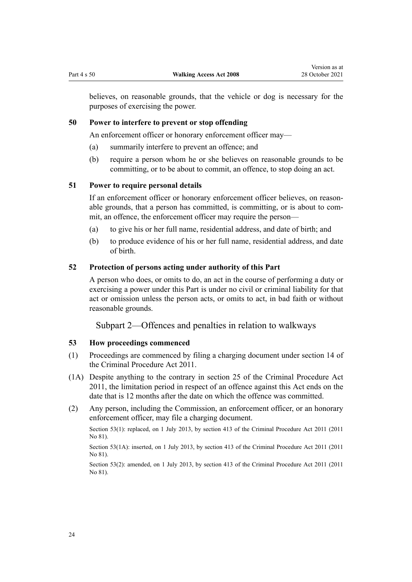<span id="page-23-0"></span>believes, on reasonable grounds, that the vehicle or dog is necessary for the purposes of exercising the power.

#### **50 Power to interfere to prevent or stop offending**

An enforcement officer or honorary enforcement officer may—

- (a) summarily interfere to prevent an offence; and
- (b) require a person whom he or she believes on reasonable grounds to be committing, or to be about to commit, an offence, to stop doing an act.

#### **51 Power to require personal details**

If an enforcement officer or honorary enforcement officer believes, on reasonable grounds, that a person has committed, is committing, or is about to com‐ mit, an offence, the enforcement officer may require the person—

- (a) to give his or her full name, residential address, and date of birth; and
- (b) to produce evidence of his or her full name, residential address, and date of birth.

#### **52 Protection of persons acting under authority of this Part**

A person who does, or omits to do, an act in the course of performing a duty or exercising a power under this Part is under no civil or criminal liability for that act or omission unless the person acts, or omits to act, in bad faith or without reasonable grounds.

Subpart 2—Offences and penalties in relation to walkways

#### **53 How proceedings commenced**

- (1) Proceedings are commenced by filing a charging document under [section 14](http://legislation.govt.nz/pdflink.aspx?id=DLM3360057) of the Criminal Procedure Act 2011.
- (1A) Despite anything to the contrary in [section 25](http://legislation.govt.nz/pdflink.aspx?id=DLM3360067) of the Criminal Procedure Act 2011, the limitation period in respect of an offence against this Act ends on the date that is 12 months after the date on which the offence was committed.
- (2) Any person, including the Commission, an enforcement officer, or an honorary enforcement officer, may file a charging document.

Section 53(1): replaced, on 1 July 2013, by [section 413](http://legislation.govt.nz/pdflink.aspx?id=DLM3360714) of the Criminal Procedure Act 2011 (2011) No 81).

Section 53(1A): inserted, on 1 July 2013, by [section 413](http://legislation.govt.nz/pdflink.aspx?id=DLM3360714) of the Criminal Procedure Act 2011 (2011 No 81).

Section 53(2): amended, on 1 July 2013, by [section 413](http://legislation.govt.nz/pdflink.aspx?id=DLM3360714) of the Criminal Procedure Act 2011 (2011 No 81).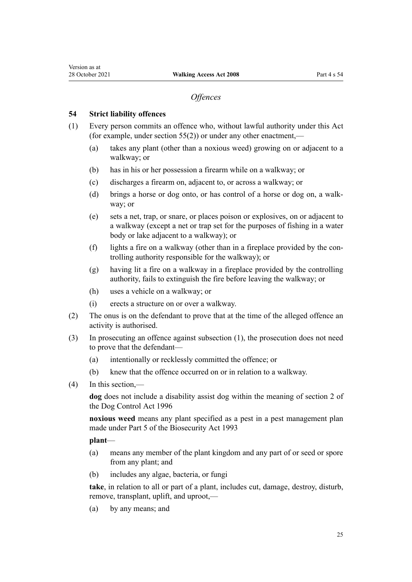#### *Offences*

#### <span id="page-24-0"></span>**54 Strict liability offences**

- (1) Every person commits an offence who, without lawful authority under this Act (for example, under section  $55(2)$ ) or under any other enactment,—
	- (a) takes any plant (other than a noxious weed) growing on or adjacent to a walkway; or
	- (b) has in his or her possession a firearm while on a walkway; or
	- (c) discharges a firearm on, adjacent to, or across a walkway; or
	- (d) brings a horse or dog onto, or has control of a horse or dog on, a walk‐ way; or
	- (e) sets a net, trap, or snare, or places poison or explosives, on or adjacent to a walkway (except a net or trap set for the purposes of fishing in a water body or lake adjacent to a walkway); or
	- (f) lights a fire on a walkway (other than in a fireplace provided by the controlling authority responsible for the walkway); or
	- (g) having lit a fire on a walkway in a fireplace provided by the controlling authority, fails to extinguish the fire before leaving the walkway; or
	- (h) uses a vehicle on a walkway; or
	- (i) erects a structure on or over a walkway.
- (2) The onus is on the defendant to prove that at the time of the alleged offence an activity is authorised.
- (3) In prosecuting an offence against subsection (1), the prosecution does not need to prove that the defendant-
	- (a) intentionally or recklessly committed the offence; or
	- (b) knew that the offence occurred on or in relation to a walkway.
- (4) In this section,—

**dog** does not include a disability assist dog within the meaning of [section 2](http://legislation.govt.nz/pdflink.aspx?id=DLM374415) of the Dog Control Act 1996

**noxious weed** means any plant specified as a pest in a pest management plan made under [Part 5](http://legislation.govt.nz/pdflink.aspx?id=DLM315367) of the Biosecurity Act 1993

#### **plant**—

- (a) means any member of the plant kingdom and any part of or seed or spore from any plant; and
- (b) includes any algae, bacteria, or fungi

**take**, in relation to all or part of a plant, includes cut, damage, destroy, disturb, remove, transplant, uplift, and uproot,—

(a) by any means; and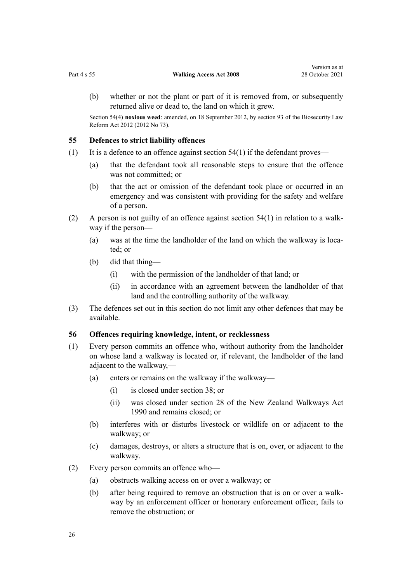<span id="page-25-0"></span>Section 54(4) **noxious weed**: amended, on 18 September 2012, by [section 93](http://legislation.govt.nz/pdflink.aspx?id=DLM3388552) of the Biosecurity Law Reform Act 2012 (2012 No 73).

#### **55 Defences to strict liability offences**

- (1) It is a defence to an offence against section  $54(1)$  if the defendant proves—
	- (a) that the defendant took all reasonable steps to ensure that the offence was not committed; or
	- (b) that the act or omission of the defendant took place or occurred in an emergency and was consistent with providing for the safety and welfare of a person.
- (2) A person is not guilty of an offence against section  $54(1)$  in relation to a walkway if the person—
	- (a) was at the time the landholder of the land on which the walkway is located; or
	- (b) did that thing—
		- (i) with the permission of the landholder of that land; or
		- (ii) in accordance with an agreement between the landholder of that land and the controlling authority of the walkway.
- (3) The defences set out in this section do not limit any other defences that may be available.

#### **56 Offences requiring knowledge, intent, or recklessness**

- (1) Every person commits an offence who, without authority from the landholder on whose land a walkway is located or, if relevant, the landholder of the land adjacent to the walkway,—
	- (a) enters or remains on the walkway if the walkway—
		- (i) is closed under [section 38](#page-18-0); or
		- (ii) was closed under [section 28](http://legislation.govt.nz/pdflink.aspx?id=DLM209949) of the New Zealand Walkways Act 1990 and remains closed; or
	- (b) interferes with or disturbs livestock or wildlife on or adjacent to the walkway; or
	- (c) damages, destroys, or alters a structure that is on, over, or adjacent to the walkway.
- (2) Every person commits an offence who—
	- (a) obstructs walking access on or over a walkway; or
	- (b) after being required to remove an obstruction that is on or over a walk‐ way by an enforcement officer or honorary enforcement officer, fails to remove the obstruction; or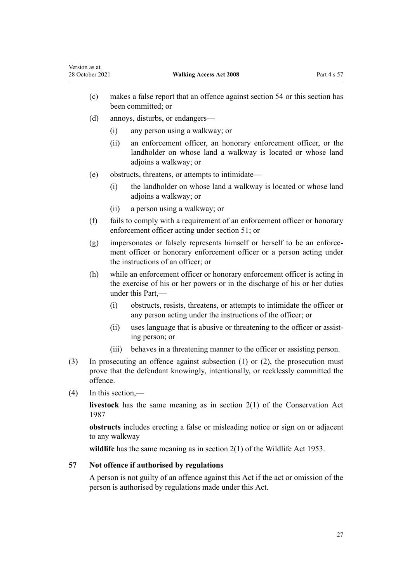- <span id="page-26-0"></span>(c) makes a false report that an offence against [section 54](#page-24-0) or this section has been committed; or
- (d) annoys, disturbs, or endangers—
	- (i) any person using a walkway; or
	- (ii) an enforcement officer, an honorary enforcement officer, or the landholder on whose land a walkway is located or whose land adjoins a walkway; or
- (e) obstructs, threatens, or attempts to intimidate—
	- (i) the landholder on whose land a walkway is located or whose land adjoins a walkway; or
	- (ii) a person using a walkway; or
- (f) fails to comply with a requirement of an enforcement officer or honorary enforcement officer acting under [section 51;](#page-23-0) or
- $(g)$  impersonates or falsely represents himself or herself to be an enforcement officer or honorary enforcement officer or a person acting under the instructions of an officer; or
- (h) while an enforcement officer or honorary enforcement officer is acting in the exercise of his or her powers or in the discharge of his or her duties under this Part,—
	- (i) obstructs, resists, threatens, or attempts to intimidate the officer or any person acting under the instructions of the officer; or
	- (ii) uses language that is abusive or threatening to the officer or assisting person; or
	- (iii) behaves in a threatening manner to the officer or assisting person.
- (3) In prosecuting an offence against subsection (1) or (2), the prosecution must prove that the defendant knowingly, intentionally, or recklessly committed the offence.
- (4) In this section,—

**livestock** has the same meaning as in [section 2\(1\)](http://legislation.govt.nz/pdflink.aspx?id=DLM103616) of the Conservation Act 1987

**obstructs** includes erecting a false or misleading notice or sign on or adjacent to any walkway

**wildlife** has the same meaning as in [section 2\(1\)](http://legislation.govt.nz/pdflink.aspx?id=DLM276819) of the Wildlife Act 1953.

# **57 Not offence if authorised by regulations**

A person is not guilty of an offence against this Act if the act or omission of the person is authorised by regulations made under this Act.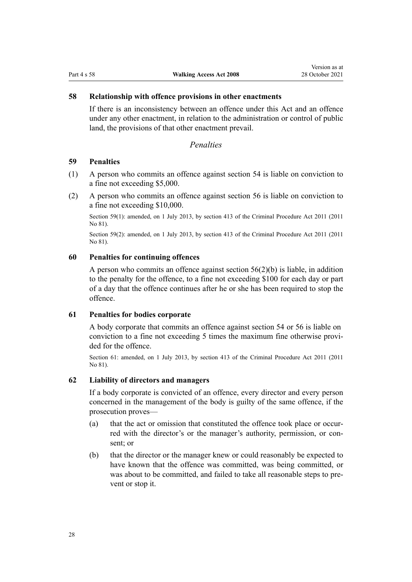#### <span id="page-27-0"></span>**58 Relationship with offence provisions in other enactments**

If there is an inconsistency between an offence under this Act and an offence under any other enactment, in relation to the administration or control of public land, the provisions of that other enactment prevail.

## *Penalties*

#### **59 Penalties**

- (1) A person who commits an offence against [section 54](#page-24-0) is liable on conviction to a fine not exceeding \$5,000.
- (2) A person who commits an offence against [section 56](#page-25-0) is liable on conviction to a fine not exceeding \$10,000.

Section 59(1): amended, on 1 July 2013, by [section 413](http://legislation.govt.nz/pdflink.aspx?id=DLM3360714) of the Criminal Procedure Act 2011 (2011 No 81).

Section 59(2): amended, on 1 July 2013, by [section 413](http://legislation.govt.nz/pdflink.aspx?id=DLM3360714) of the Criminal Procedure Act 2011 (2011 No 81).

#### **60 Penalties for continuing offences**

A person who commits an offence against [section 56\(2\)\(b\)](#page-25-0) is liable, in addition to the penalty for the offence, to a fine not exceeding \$100 for each day or part of a day that the offence continues after he or she has been required to stop the offence.

#### **61 Penalties for bodies corporate**

A body corporate that commits an offence against [section 54](#page-24-0) or [56](#page-25-0) is liable on conviction to a fine not exceeding 5 times the maximum fine otherwise provided for the offence.

Section 61: amended, on 1 July 2013, by [section 413](http://legislation.govt.nz/pdflink.aspx?id=DLM3360714) of the Criminal Procedure Act 2011 (2011 No 81).

#### **62 Liability of directors and managers**

If a body corporate is convicted of an offence, every director and every person concerned in the management of the body is guilty of the same offence, if the prosecution proves—

- (a) that the act or omission that constituted the offence took place or occurred with the director's or the manager's authority, permission, or consent; or
- (b) that the director or the manager knew or could reasonably be expected to have known that the offence was committed, was being committed, or was about to be committed, and failed to take all reasonable steps to prevent or stop it.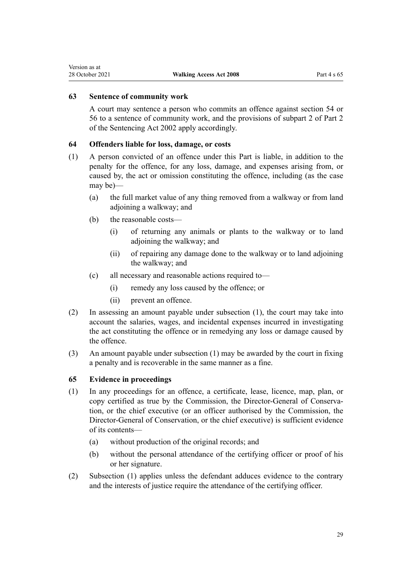## <span id="page-28-0"></span>**63 Sentence of community work**

A court may sentence a person who commits an offence against [section 54](#page-24-0) or [56](#page-25-0) to a sentence of community work, and the provisions of subpart 2 of [Part 2](http://legislation.govt.nz/pdflink.aspx?id=DLM135593) of the Sentencing Act 2002 apply accordingly.

### **64 Offenders liable for loss, damage, or costs**

- (1) A person convicted of an offence under this Part is liable, in addition to the penalty for the offence, for any loss, damage, and expenses arising from, or caused by, the act or omission constituting the offence, including (as the case may be)—
	- (a) the full market value of any thing removed from a walkway or from land adjoining a walkway; and
	- (b) the reasonable costs—
		- (i) of returning any animals or plants to the walkway or to land adjoining the walkway; and
		- (ii) of repairing any damage done to the walkway or to land adjoining the walkway; and
	- (c) all necessary and reasonable actions required to—
		- (i) remedy any loss caused by the offence; or
		- (ii) prevent an offence.
- (2) In assessing an amount payable under subsection (1), the court may take into account the salaries, wages, and incidental expenses incurred in investigating the act constituting the offence or in remedying any loss or damage caused by the offence.
- (3) An amount payable under subsection (1) may be awarded by the court in fixing a penalty and is recoverable in the same manner as a fine.

### **65 Evidence in proceedings**

- (1) In any proceedings for an offence, a certificate, lease, licence, map, plan, or copy certified as true by the Commission, the Director-General of Conserva‐ tion, or the chief executive (or an officer authorised by the Commission, the Director-General of Conservation, or the chief executive) is sufficient evidence of its contents—
	- (a) without production of the original records; and
	- (b) without the personal attendance of the certifying officer or proof of his or her signature.
- (2) Subsection (1) applies unless the defendant adduces evidence to the contrary and the interests of justice require the attendance of the certifying officer.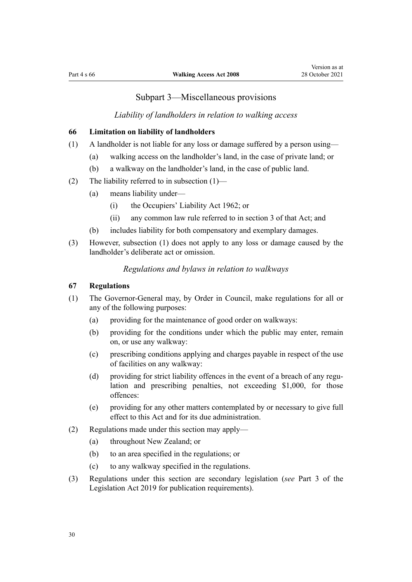# Subpart 3—Miscellaneous provisions

### *Liability of landholders in relation to walking access*

#### <span id="page-29-0"></span>**66 Limitation on liability of landholders**

- (1) A landholder is not liable for any loss or damage suffered by a person using—
	- (a) walking access on the landholder's land, in the case of private land; or
	- (b) a walkway on the landholder's land, in the case of public land.
- (2) The liability referred to in subsection  $(1)$ 
	- (a) means liability under—
		- (i) the [Occupiers' Liability Act 1962](http://legislation.govt.nz/pdflink.aspx?id=DLM339662); or
		- (ii) any common law rule referred to in [section 3](http://legislation.govt.nz/pdflink.aspx?id=DLM339673) of that Act; and
	- (b) includes liability for both compensatory and exemplary damages.
- (3) However, subsection (1) does not apply to any loss or damage caused by the landholder's deliberate act or omission.

## *Regulations and bylaws in relation to walkways*

#### **67 Regulations**

- (1) The Governor-General may, by Order in Council, make regulations for all or any of the following purposes:
	- (a) providing for the maintenance of good order on walkways:
	- (b) providing for the conditions under which the public may enter, remain on, or use any walkway:
	- (c) prescribing conditions applying and charges payable in respect of the use of facilities on any walkway:
	- (d) providing for strict liability offences in the event of a breach of any regulation and prescribing penalties, not exceeding \$1,000, for those offences:
	- (e) providing for any other matters contemplated by or necessary to give full effect to this Act and for its due administration.
- (2) Regulations made under this section may apply—
	- (a) throughout New Zealand; or
	- (b) to an area specified in the regulations; or
	- (c) to any walkway specified in the regulations.
- (3) Regulations under this section are secondary legislation (*see* [Part 3](http://legislation.govt.nz/pdflink.aspx?id=DLM7298343) of the Legislation Act 2019 for publication requirements).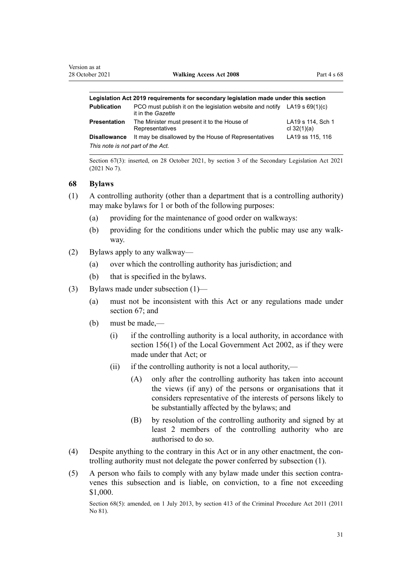<span id="page-30-0"></span>

| Legislation Act 2019 reguirements for secondary legislation made under this section |                                                                                                  |                                    |  |  |
|-------------------------------------------------------------------------------------|--------------------------------------------------------------------------------------------------|------------------------------------|--|--|
| <b>Publication</b>                                                                  | PCO must publish it on the legislation website and notify LA19 s $69(1)(c)$<br>it in the Gazette |                                    |  |  |
| Presentation                                                                        | The Minister must present it to the House of<br>Representatives                                  | LA19 s 114, Sch 1<br>cl $32(1)(a)$ |  |  |
| <b>Disallowance</b>                                                                 | It may be disallowed by the House of Representatives                                             | LA19 ss 115, 116                   |  |  |
| This note is not part of the Act.                                                   |                                                                                                  |                                    |  |  |

Section 67(3): inserted, on 28 October 2021, by [section 3](http://legislation.govt.nz/pdflink.aspx?id=LMS268932) of the Secondary Legislation Act 2021 (2021 No 7).

#### **68 Bylaws**

- (1) A controlling authority (other than a department that is a controlling authority) may make bylaws for 1 or both of the following purposes:
	- (a) providing for the maintenance of good order on walkways:
	- (b) providing for the conditions under which the public may use any walkway.
- (2) Bylaws apply to any walkway—
	- (a) over which the controlling authority has jurisdiction; and
	- (b) that is specified in the bylaws.
- (3) Bylaws made under subsection (1)—
	- (a) must not be inconsistent with this Act or any regulations made under [section 67](#page-29-0); and
	- (b) must be made,—
		- (i) if the controlling authority is a local authority, in accordance with [section 156\(1\)](http://legislation.govt.nz/pdflink.aspx?id=DLM173404) of the Local Government Act 2002, as if they were made under that Act; or
		- (ii) if the controlling authority is not a local authority,—
			- (A) only after the controlling authority has taken into account the views (if any) of the persons or organisations that it considers representative of the interests of persons likely to be substantially affected by the bylaws; and
			- (B) by resolution of the controlling authority and signed by at least 2 members of the controlling authority who are authorised to do so.
- (4) Despite anything to the contrary in this Act or in any other enactment, the con‐ trolling authority must not delegate the power conferred by subsection (1).
- (5) A person who fails to comply with any bylaw made under this section contra‐ venes this subsection and is liable, on conviction, to a fine not exceeding \$1,000.

Section 68(5): amended, on 1 July 2013, by [section 413](http://legislation.govt.nz/pdflink.aspx?id=DLM3360714) of the Criminal Procedure Act 2011 (2011 No 81).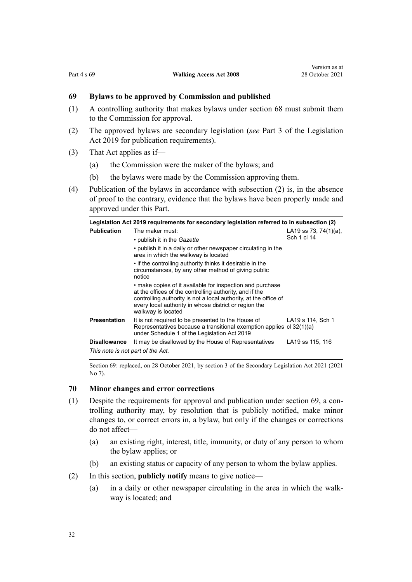# <span id="page-31-0"></span>**69 Bylaws to be approved by Commission and published**

- (1) A controlling authority that makes bylaws under [section 68](#page-30-0) must submit them to the Commission for approval.
- (2) The approved bylaws are secondary legislation (*see* [Part 3](http://legislation.govt.nz/pdflink.aspx?id=DLM7298343) of the Legislation Act 2019 for publication requirements).
- (3) That Act applies as if—
	- (a) the Commission were the maker of the bylaws; and
	- (b) the bylaws were made by the Commission approving them.
- (4) Publication of the bylaws in accordance with subsection (2) is, in the absence of proof to the contrary, evidence that the bylaws have been properly made and approved under this Part.

|                                   | Legislation Act 2019 requirements for secondary legislation referred to in subsection (2)                                                                                                                                                                               |                                      |  |  |
|-----------------------------------|-------------------------------------------------------------------------------------------------------------------------------------------------------------------------------------------------------------------------------------------------------------------------|--------------------------------------|--|--|
| <b>Publication</b>                | The maker must:<br>• publish it in the <i>Gazette</i>                                                                                                                                                                                                                   | LA19 ss 73, 74(1)(a),<br>Sch 1 cl 14 |  |  |
|                                   | • publish it in a daily or other newspaper circulating in the<br>area in which the walkway is located                                                                                                                                                                   |                                      |  |  |
|                                   | • if the controlling authority thinks it desirable in the<br>circumstances, by any other method of giving public<br>notice                                                                                                                                              |                                      |  |  |
|                                   | • make copies of it available for inspection and purchase<br>at the offices of the controlling authority, and if the<br>controlling authority is not a local authority, at the office of<br>every local authority in whose district or region the<br>walkway is located |                                      |  |  |
| <b>Presentation</b>               | It is not required to be presented to the House of<br>Representatives because a transitional exemption applies cl 32(1)(a)<br>under Schedule 1 of the Legislation Act 2019                                                                                              | LA19 s 114, Sch 1                    |  |  |
| <b>Disallowance</b>               | It may be disallowed by the House of Representatives                                                                                                                                                                                                                    | LA19 ss 115, 116                     |  |  |
| This note is not part of the Act. |                                                                                                                                                                                                                                                                         |                                      |  |  |

Section 69: replaced, on 28 October 2021, by [section 3](http://legislation.govt.nz/pdflink.aspx?id=LMS268932) of the Secondary Legislation Act 2021 (2021 No 7).

#### **70 Minor changes and error corrections**

- (1) Despite the requirements for approval and publication under section 69, a controlling authority may, by resolution that is publicly notified, make minor changes to, or correct errors in, a bylaw, but only if the changes or corrections do not affect—
	- (a) an existing right, interest, title, immunity, or duty of any person to whom the bylaw applies; or
	- (b) an existing status or capacity of any person to whom the bylaw applies.
- (2) In this section, **publicly notify** means to give notice—
	- (a) in a daily or other newspaper circulating in the area in which the walkway is located; and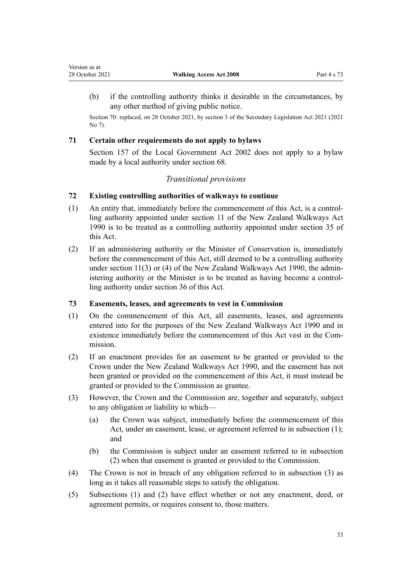<span id="page-32-0"></span>(b) if the controlling authority thinks it desirable in the circumstances, by any other method of giving public notice.

Section 70: replaced, on 28 October 2021, by [section 3](http://legislation.govt.nz/pdflink.aspx?id=LMS268932) of the Secondary Legislation Act 2021 (2021 No 7).

## **71 Certain other requirements do not apply to bylaws**

[Section 157](http://legislation.govt.nz/pdflink.aspx?id=DLM173407) of the Local Government Act 2002 does not apply to a bylaw made by a local authority under [section 68.](#page-30-0)

# *Transitional provisions*

# **72 Existing controlling authorities of walkways to continue**

- (1) An entity that, immediately before the commencement of this Act, is a control‐ ling authority appointed under [section 11](http://legislation.govt.nz/pdflink.aspx?id=DLM209931) of the New Zealand Walkways Act 1990 is to be treated as a controlling authority appointed under [section 35](#page-16-0) of this Act.
- (2) If an administering authority or the Minister of Conservation is, immediately before the commencement of this Act, still deemed to be a controlling authority under [section 11\(3\)](http://legislation.govt.nz/pdflink.aspx?id=DLM209931) or (4) of the New Zealand Walkways Act 1990, the administering authority or the Minister is to be treated as having become a control‐ ling authority under [section 36](#page-17-0) of this Act.

# **73 Easements, leases, and agreements to vest in Commission**

- (1) On the commencement of this Act, all easements, leases, and agreements entered into for the purposes of the [New Zealand Walkways Act 1990](http://legislation.govt.nz/pdflink.aspx?id=DLM209477) and in existence immediately before the commencement of this Act vest in the Commission.
- (2) If an enactment provides for an easement to be granted or provided to the Crown under the [New Zealand Walkways Act 1990,](http://legislation.govt.nz/pdflink.aspx?id=DLM209477) and the easement has not been granted or provided on the commencement of this Act, it must instead be granted or provided to the Commission as grantee.
- (3) However, the Crown and the Commission are, together and separately, subject to any obligation or liability to which—
	- (a) the Crown was subject, immediately before the commencement of this Act, under an easement, lease, or agreement referred to in subsection (1); and
	- (b) the Commission is subject under an easement referred to in subsection (2) when that easement is granted or provided to the Commission.
- (4) The Crown is not in breach of any obligation referred to in subsection (3) as long as it takes all reasonable steps to satisfy the obligation.
- (5) Subsections (1) and (2) have effect whether or not any enactment, deed, or agreement permits, or requires consent to, those matters.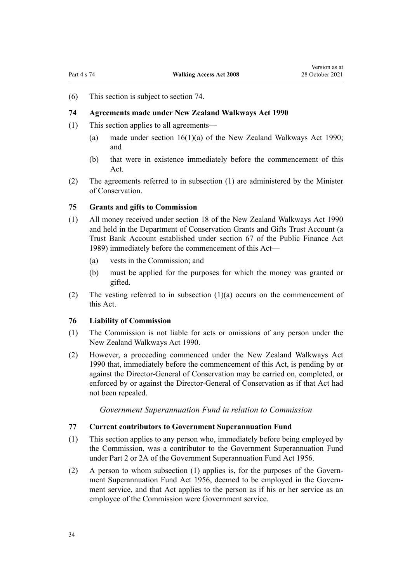<span id="page-33-0"></span>(6) This section is subject to section 74.

#### **74 Agreements made under New Zealand Walkways Act 1990**

- (1) This section applies to all agreements—
	- (a) made under [section 16\(1\)\(a\)](http://legislation.govt.nz/pdflink.aspx?id=DLM209936) of the New Zealand Walkways Act 1990; and
	- (b) that were in existence immediately before the commencement of this Act.
- (2) The agreements referred to in subsection (1) are administered by the Minister of Conservation.

#### **75 Grants and gifts to Commission**

- (1) All money received under [section 18](http://legislation.govt.nz/pdflink.aspx?id=DLM209938) of the New Zealand Walkways Act 1990 and held in the Department of Conservation Grants and Gifts Trust Account (a Trust Bank Account established under [section 67](http://legislation.govt.nz/pdflink.aspx?id=DLM162983) of the Public Finance Act 1989) immediately before the commencement of this Act—
	- (a) vests in the Commission; and
	- (b) must be applied for the purposes for which the money was granted or gifted.
- (2) The vesting referred to in subsection  $(1)(a)$  occurs on the commencement of this Act.

#### **76 Liability of Commission**

- (1) The Commission is not liable for acts or omissions of any person under the [New Zealand Walkways Act 1990.](http://legislation.govt.nz/pdflink.aspx?id=DLM209477)
- (2) However, a proceeding commenced under the [New Zealand Walkways Act](http://legislation.govt.nz/pdflink.aspx?id=DLM209477) [1990](http://legislation.govt.nz/pdflink.aspx?id=DLM209477) that, immediately before the commencement of this Act, is pending by or against the Director-General of Conservation may be carried on, completed, or enforced by or against the Director-General of Conservation as if that Act had not been repealed.

*Government Superannuation Fund in relation to Commission*

#### **77 Current contributors to Government Superannuation Fund**

- (1) This section applies to any person who, immediately before being employed by the Commission, was a contributor to the Government Superannuation Fund under [Part 2](http://legislation.govt.nz/pdflink.aspx?id=DLM446395) or [2A](http://legislation.govt.nz/pdflink.aspx?id=DLM446842) of the Government Superannuation Fund Act 1956.
- (2) A person to whom subsection (1) applies is, for the purposes of the [Govern‐](http://legislation.govt.nz/pdflink.aspx?id=DLM446000) [ment Superannuation Fund Act 1956](http://legislation.govt.nz/pdflink.aspx?id=DLM446000), deemed to be employed in the Government service, and that Act applies to the person as if his or her service as an employee of the Commission were Government service.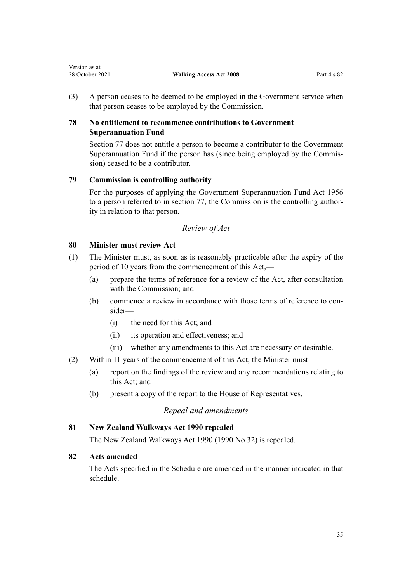<span id="page-34-0"></span>(3) A person ceases to be deemed to be employed in the Government service when that person ceases to be employed by the Commission.

# **78 No entitlement to recommence contributions to Government Superannuation Fund**

[Section 77](#page-33-0) does not entitle a person to become a contributor to the Government Superannuation Fund if the person has (since being employed by the Commis‐ sion) ceased to be a contributor.

# **79 Commission is controlling authority**

For the purposes of applying the [Government Superannuation Fund Act 1956](http://legislation.govt.nz/pdflink.aspx?id=DLM446000) to a person referred to in [section 77,](#page-33-0) the Commission is the controlling authority in relation to that person.

# *Review of Act*

# **80 Minister must review Act**

- (1) The Minister must, as soon as is reasonably practicable after the expiry of the period of 10 years from the commencement of this Act,—
	- (a) prepare the terms of reference for a review of the Act, after consultation with the Commission; and
	- (b) commence a review in accordance with those terms of reference to consider—
		- (i) the need for this Act; and
		- (ii) its operation and effectiveness; and
		- (iii) whether any amendments to this Act are necessary or desirable.
- (2) Within 11 years of the commencement of this Act, the Minister must—
	- (a) report on the findings of the review and any recommendations relating to this Act; and
	- (b) present a copy of the report to the House of Representatives.

# *Repeal and amendments*

# **81 New Zealand Walkways Act 1990 repealed**

The [New Zealand Walkways Act 1990](http://legislation.govt.nz/pdflink.aspx?id=DLM209477) (1990 No 32) is repealed.

# **82 Acts amended**

The Acts specified in the [Schedule](#page-35-0) are amended in the manner indicated in that schedule.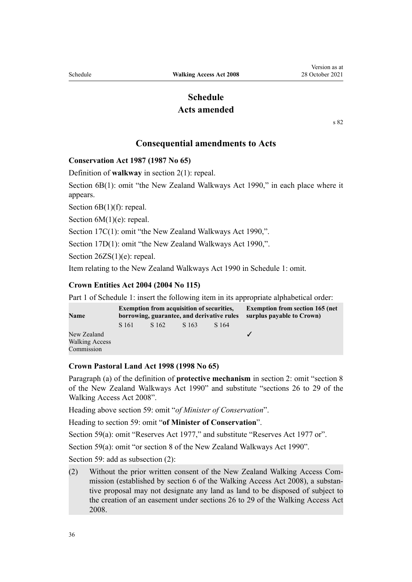# **Schedule Acts amended**

[s 82](#page-34-0)

## **Consequential amendments to Acts**

<span id="page-35-0"></span>**Conservation Act 1987 (1987 No 65)**

Definition of **walkway** in [section 2\(1\):](http://legislation.govt.nz/pdflink.aspx?id=DLM103616) repeal.

[Section 6B\(1\)](http://legislation.govt.nz/pdflink.aspx?id=DLM104088): omit "the New Zealand Walkways Act 1990," in each place where it appears.

Section  $6B(1)(f)$ : repeal.

Section  $6M(1)(e)$ : repeal.

[Section 17C\(1\)](http://legislation.govt.nz/pdflink.aspx?id=DLM104297): omit "the New Zealand Walkways Act 1990,".

[Section 17D\(1\):](http://legislation.govt.nz/pdflink.aspx?id=DLM104299) omit "the New Zealand Walkways Act 1990,".

[Section 26ZS\(1\)\(e\):](http://legislation.govt.nz/pdflink.aspx?id=DLM106043) repeal.

Item relating to the New Zealand Walkways Act 1990 in [Schedule 1:](http://legislation.govt.nz/pdflink.aspx?id=DLM107200) omit.

#### **Crown Entities Act 2004 (2004 No 115)**

Part 1 of [Schedule 1](http://legislation.govt.nz/pdflink.aspx?id=DLM331113): insert the following item in its appropriate alphabetical order:

| <b>Name</b>           | <b>Exemption from acquisition of securities,</b><br>borrowing, guarantee, and derivative rules |       |       |       | <b>Exemption from section 165 (net)</b><br>surplus payable to Crown) |
|-----------------------|------------------------------------------------------------------------------------------------|-------|-------|-------|----------------------------------------------------------------------|
|                       | S 161                                                                                          | S 162 | S 163 | S 164 |                                                                      |
| New Zealand           |                                                                                                |       |       |       |                                                                      |
| <b>Walking Access</b> |                                                                                                |       |       |       |                                                                      |
| Commission            |                                                                                                |       |       |       |                                                                      |

#### **Crown Pastoral Land Act 1998 (1998 No 65)**

Paragraph (a) of the definition of **protective mechanism** in [section 2](http://legislation.govt.nz/pdflink.aspx?id=DLM426899): omit "section 8 of the New Zealand Walkways Act 1990" and substitute "sections 26 to 29 of the Walking Access Act 2008".

Heading above [section 59](http://legislation.govt.nz/pdflink.aspx?id=DLM427060): omit "*of Minister of Conservation*".

Heading to [section 59:](http://legislation.govt.nz/pdflink.aspx?id=DLM427060) omit "**of Minister of Conservation**".

[Section 59\(a\):](http://legislation.govt.nz/pdflink.aspx?id=DLM427060) omit "Reserves Act 1977," and substitute "Reserves Act 1977 or".

[Section 59\(a\):](http://legislation.govt.nz/pdflink.aspx?id=DLM427060) omit "or section 8 of the New Zealand Walkways Act 1990".

[Section 59](http://legislation.govt.nz/pdflink.aspx?id=DLM427060): add as subsection (2):

(2) Without the prior written consent of the New Zealand Walking Access Com‐ mission (established by section 6 of the Walking Access Act 2008), a substan‐ tive proposal may not designate any land as land to be disposed of subject to the creation of an easement under sections 26 to 29 of the Walking Access Act 2008.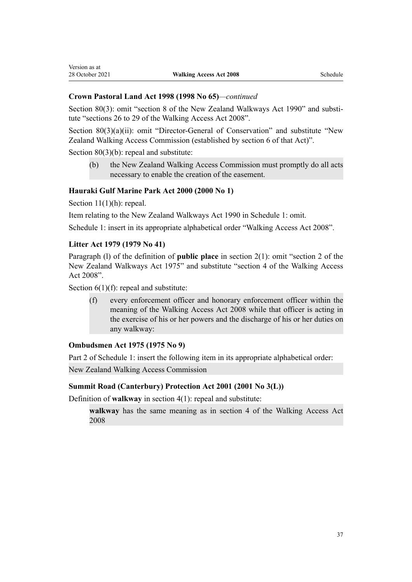[Section 80\(3\)](http://legislation.govt.nz/pdflink.aspx?id=DLM427082): omit "section 8 of the New Zealand Walkways Act 1990" and substitute "sections 26 to 29 of the Walking Access Act 2008".

[Section 80\(3\)\(a\)\(ii\)](http://legislation.govt.nz/pdflink.aspx?id=DLM427082): omit "Director-General of Conservation" and substitute "New Zealand Walking Access Commission (established by section 6 of that Act)".

[Section 80\(3\)\(b\):](http://legislation.govt.nz/pdflink.aspx?id=DLM427082) repeal and substitute:

(b) the New Zealand Walking Access Commission must promptly do all acts necessary to enable the creation of the easement.

#### **Hauraki Gulf Marine Park Act 2000 (2000 No 1)**

[Section 11\(1\)\(h\)](http://legislation.govt.nz/pdflink.aspx?id=DLM53147): repeal.

Version as at

Item relating to the New Zealand Walkways Act 1990 in [Schedule 1:](http://legislation.govt.nz/pdflink.aspx?id=DLM53199) omit.

[Schedule 1:](http://legislation.govt.nz/pdflink.aspx?id=DLM53199) insert in its appropriate alphabetical order "Walking Access Act 2008".

#### **Litter Act 1979 (1979 No 41)**

Paragraph (1) of the definition of **public place** in [section 2\(1\):](http://legislation.govt.nz/pdflink.aspx?id=DLM33087) omit "section 2 of the New Zealand Walkways Act 1975" and substitute "section 4 of the Walking Access Act 2008".

Section  $6(1)(f)$ : repeal and substitute:

(f) every enforcement officer and honorary enforcement officer within the meaning of the Walking Access Act 2008 while that officer is acting in the exercise of his or her powers and the discharge of his or her duties on any walkway:

#### **Ombudsmen Act 1975 (1975 No 9)**

Part 2 of [Schedule 1](http://legislation.govt.nz/pdflink.aspx?id=DLM431204): insert the following item in its appropriate alphabetical order:

New Zealand Walking Access Commission

#### **Summit Road (Canterbury) Protection Act 2001 (2001 No 3(L))**

Definition of **walkway** in [section 4\(1\):](http://legislation.govt.nz/pdflink.aspx?id=DLM85727) repeal and substitute:

**walkway** has the same meaning as in section 4 of the Walking Access Act 2008